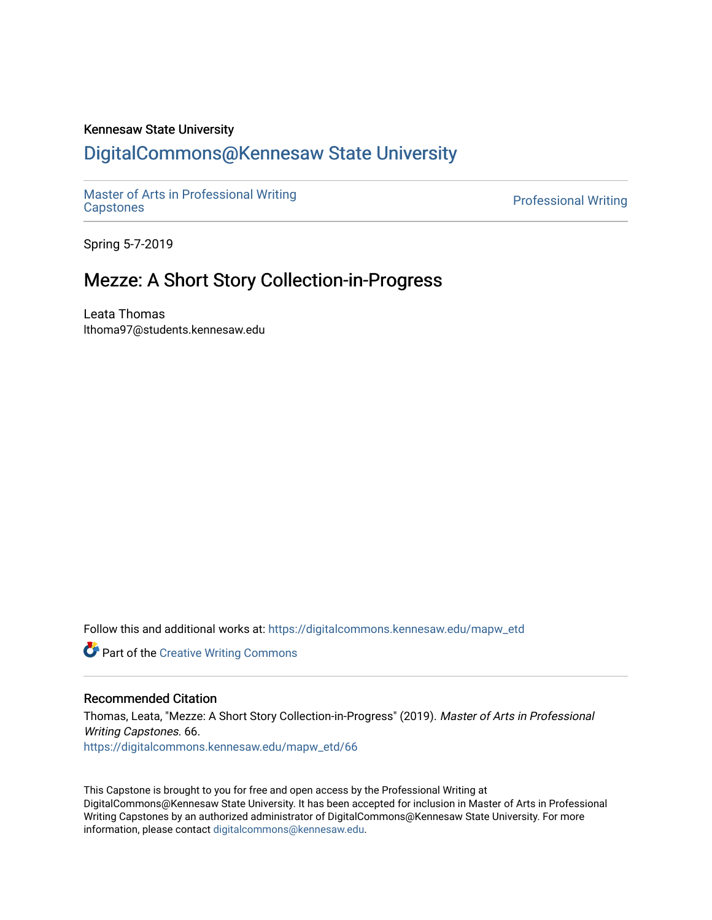### Kennesaw State University

## [DigitalCommons@Kennesaw State University](https://digitalcommons.kennesaw.edu/)

[Master of Arts in Professional Writing](https://digitalcommons.kennesaw.edu/mapw_etd)

**Professional Writing** 

Spring 5-7-2019

## Mezze: A Short Story Collection-in-Progress

Leata Thomas lthoma97@students.kennesaw.edu

Follow this and additional works at: [https://digitalcommons.kennesaw.edu/mapw\\_etd](https://digitalcommons.kennesaw.edu/mapw_etd?utm_source=digitalcommons.kennesaw.edu%2Fmapw_etd%2F66&utm_medium=PDF&utm_campaign=PDFCoverPages)

**Part of the Creative Writing Commons** 

### Recommended Citation

Thomas, Leata, "Mezze: A Short Story Collection-in-Progress" (2019). Master of Arts in Professional Writing Capstones. 66. [https://digitalcommons.kennesaw.edu/mapw\\_etd/66](https://digitalcommons.kennesaw.edu/mapw_etd/66?utm_source=digitalcommons.kennesaw.edu%2Fmapw_etd%2F66&utm_medium=PDF&utm_campaign=PDFCoverPages) 

This Capstone is brought to you for free and open access by the Professional Writing at DigitalCommons@Kennesaw State University. It has been accepted for inclusion in Master of Arts in Professional Writing Capstones by an authorized administrator of DigitalCommons@Kennesaw State University. For more information, please contact [digitalcommons@kennesaw.edu](mailto:digitalcommons@kennesaw.edu).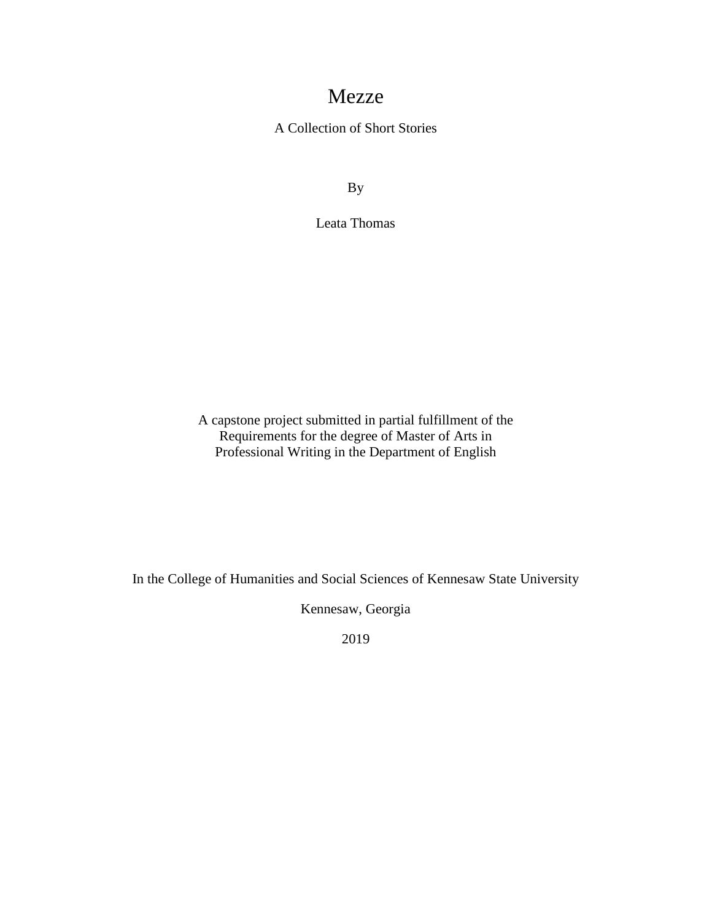# Mezze

A Collection of Short Stories

By

Leata Thomas

A capstone project submitted in partial fulfillment of the Requirements for the degree of Master of Arts in Professional Writing in the Department of English

In the College of Humanities and Social Sciences of Kennesaw State University

Kennesaw, Georgia

2019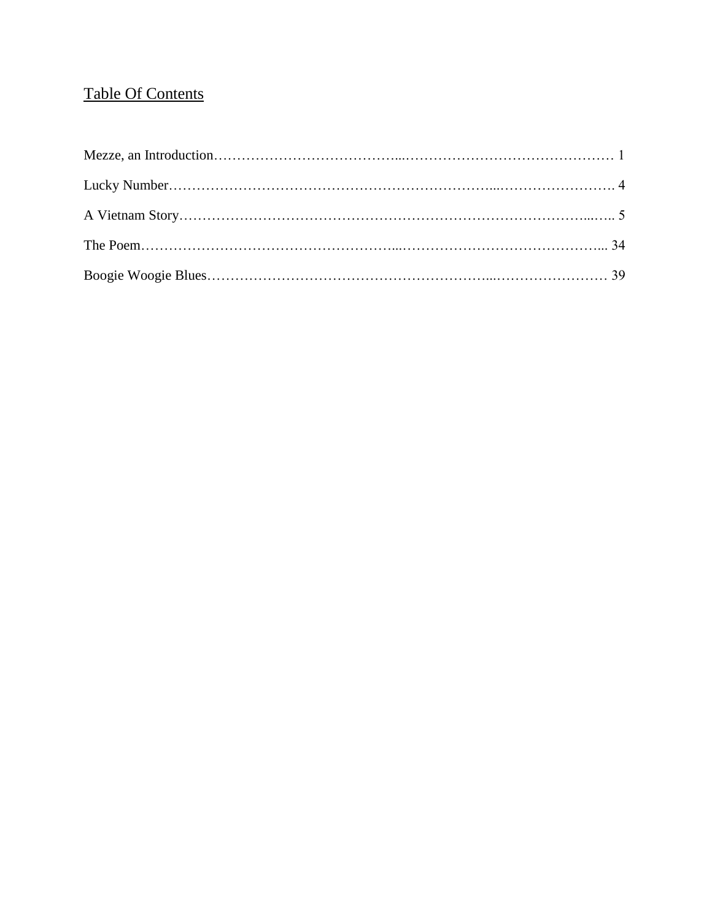# Table Of Contents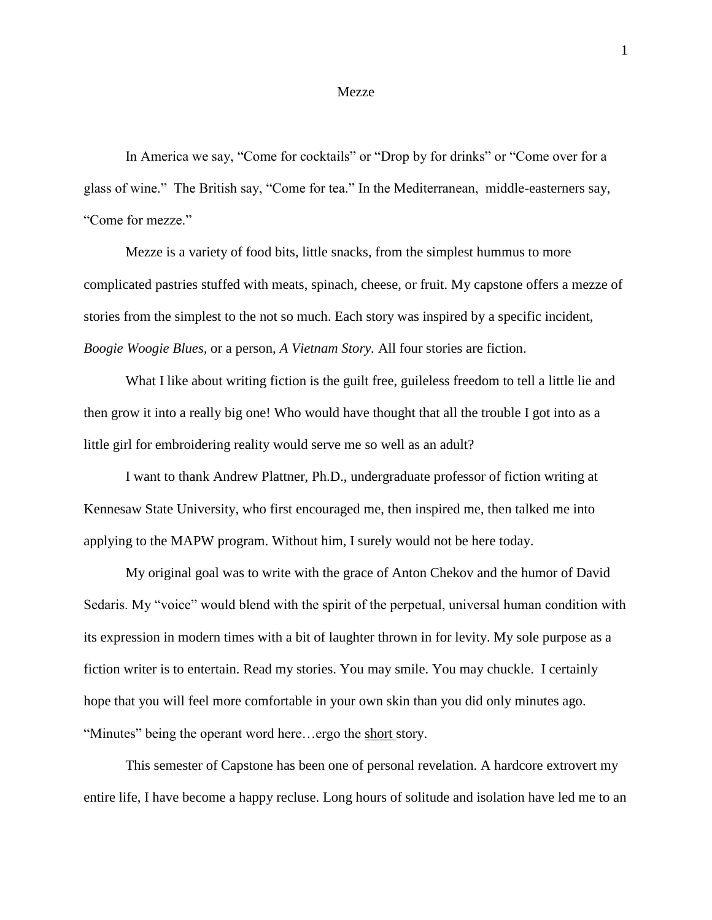#### Mezze

In America we say, "Come for cocktails" or "Drop by for drinks" or "Come over for a glass of wine." The British say, "Come for tea." In the Mediterranean, middle-easterners say, "Come for mezze."

Mezze is a variety of food bits, little snacks, from the simplest hummus to more complicated pastries stuffed with meats, spinach, cheese, or fruit. My capstone offers a mezze of stories from the simplest to the not so much. Each story was inspired by a specific incident, *Boogie Woogie Blues,* or a person, *A Vietnam Story.* All four stories are fiction.

What I like about writing fiction is the guilt free, guileless freedom to tell a little lie and then grow it into a really big one! Who would have thought that all the trouble I got into as a little girl for embroidering reality would serve me so well as an adult?

I want to thank Andrew Plattner, Ph.D., undergraduate professor of fiction writing at Kennesaw State University, who first encouraged me, then inspired me, then talked me into applying to the MAPW program. Without him, I surely would not be here today.

My original goal was to write with the grace of Anton Chekov and the humor of David Sedaris. My "voice" would blend with the spirit of the perpetual, universal human condition with its expression in modern times with a bit of laughter thrown in for levity. My sole purpose as a fiction writer is to entertain. Read my stories. You may smile. You may chuckle. I certainly hope that you will feel more comfortable in your own skin than you did only minutes ago. "Minutes" being the operant word here...ergo the short story.

This semester of Capstone has been one of personal revelation. A hardcore extrovert my entire life, I have become a happy recluse. Long hours of solitude and isolation have led me to an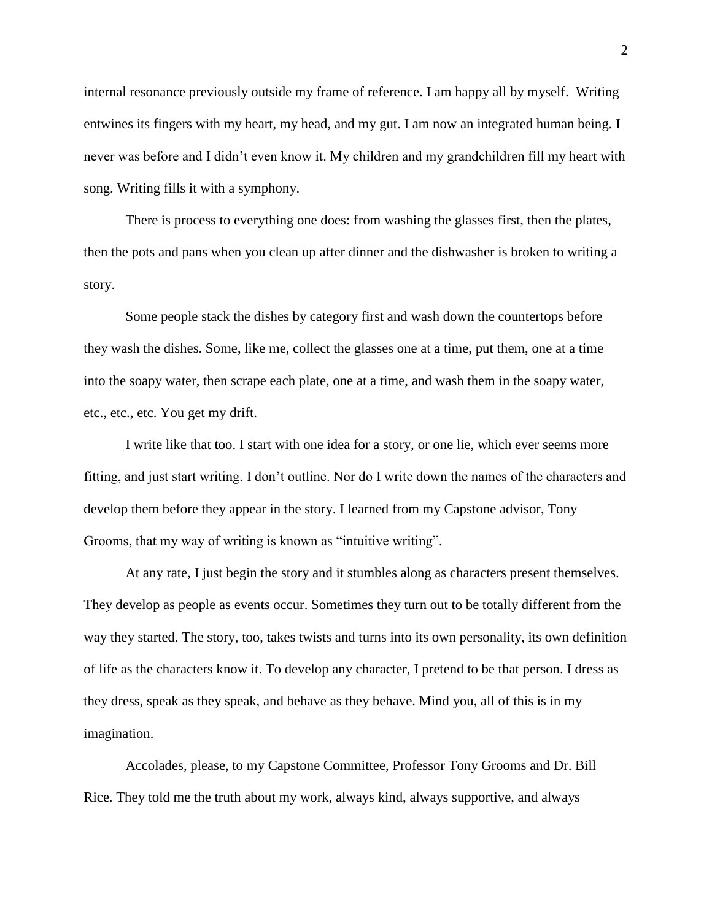internal resonance previously outside my frame of reference. I am happy all by myself. Writing entwines its fingers with my heart, my head, and my gut. I am now an integrated human being. I never was before and I didn't even know it. My children and my grandchildren fill my heart with song. Writing fills it with a symphony.

There is process to everything one does: from washing the glasses first, then the plates, then the pots and pans when you clean up after dinner and the dishwasher is broken to writing a story.

Some people stack the dishes by category first and wash down the countertops before they wash the dishes. Some, like me, collect the glasses one at a time, put them, one at a time into the soapy water, then scrape each plate, one at a time, and wash them in the soapy water, etc., etc., etc. You get my drift.

I write like that too. I start with one idea for a story, or one lie, which ever seems more fitting, and just start writing. I don't outline. Nor do I write down the names of the characters and develop them before they appear in the story. I learned from my Capstone advisor, Tony Grooms, that my way of writing is known as "intuitive writing".

At any rate, I just begin the story and it stumbles along as characters present themselves. They develop as people as events occur. Sometimes they turn out to be totally different from the way they started. The story, too, takes twists and turns into its own personality, its own definition of life as the characters know it. To develop any character, I pretend to be that person. I dress as they dress, speak as they speak, and behave as they behave. Mind you, all of this is in my imagination.

Accolades, please, to my Capstone Committee, Professor Tony Grooms and Dr. Bill Rice. They told me the truth about my work, always kind, always supportive, and always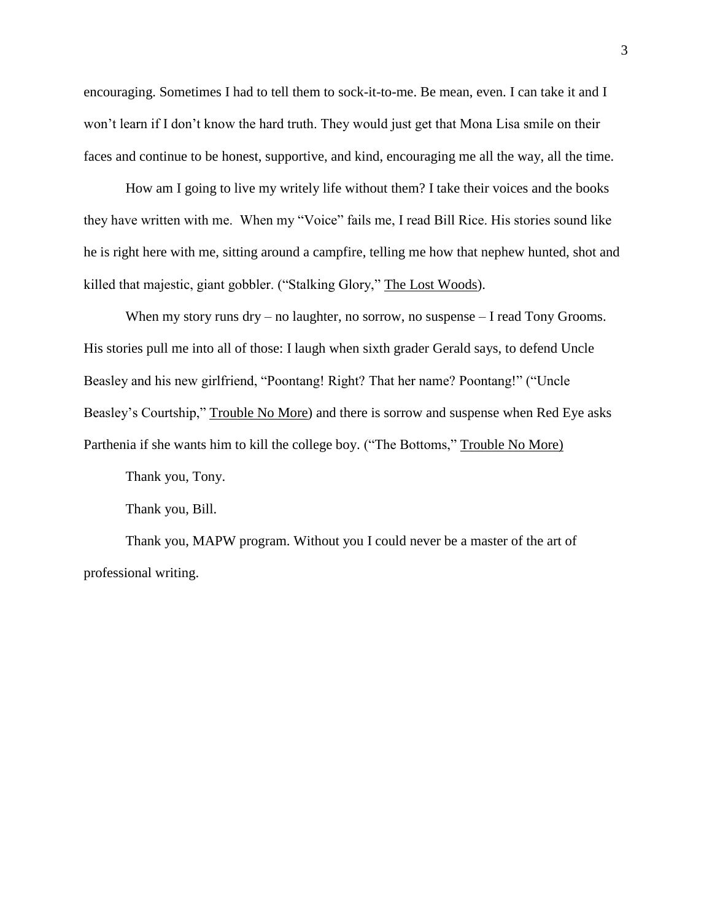encouraging. Sometimes I had to tell them to sock-it-to-me. Be mean, even. I can take it and I won't learn if I don't know the hard truth. They would just get that Mona Lisa smile on their faces and continue to be honest, supportive, and kind, encouraging me all the way, all the time.

How am I going to live my writely life without them? I take their voices and the books they have written with me. When my "Voice" fails me, I read Bill Rice. His stories sound like he is right here with me, sitting around a campfire, telling me how that nephew hunted, shot and killed that majestic, giant gobbler. ("Stalking Glory," The Lost Woods).

When my story runs dry – no laughter, no sorrow, no suspense – I read Tony Grooms. His stories pull me into all of those: I laugh when sixth grader Gerald says, to defend Uncle Beasley and his new girlfriend, "Poontang! Right? That her name? Poontang!" ("Uncle Beasley's Courtship," Trouble No More) and there is sorrow and suspense when Red Eye asks Parthenia if she wants him to kill the college boy. ("The Bottoms," Trouble No More)

Thank you, Tony.

Thank you, Bill.

Thank you, MAPW program. Without you I could never be a master of the art of professional writing.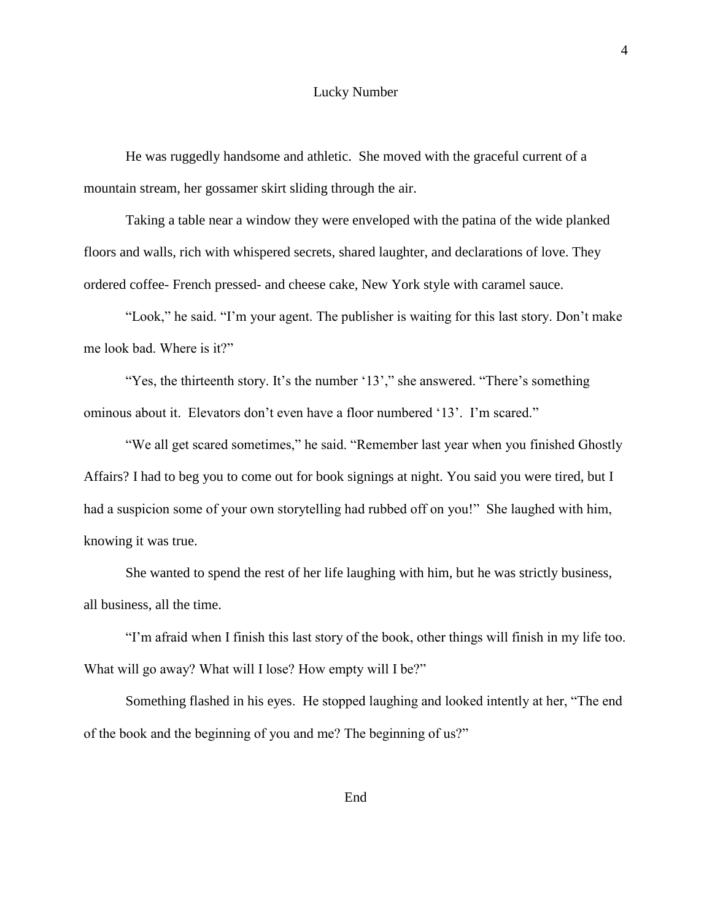#### Lucky Number

He was ruggedly handsome and athletic. She moved with the graceful current of a mountain stream, her gossamer skirt sliding through the air.

Taking a table near a window they were enveloped with the patina of the wide planked floors and walls, rich with whispered secrets, shared laughter, and declarations of love. They ordered coffee- French pressed- and cheese cake, New York style with caramel sauce.

"Look," he said. "I'm your agent. The publisher is waiting for this last story. Don't make me look bad. Where is it?"

"Yes, the thirteenth story. It's the number '13'," she answered. "There's something ominous about it. Elevators don't even have a floor numbered '13'. I'm scared."

"We all get scared sometimes," he said. "Remember last year when you finished Ghostly Affairs? I had to beg you to come out for book signings at night. You said you were tired, but I had a suspicion some of your own storytelling had rubbed off on you!" She laughed with him, knowing it was true.

She wanted to spend the rest of her life laughing with him, but he was strictly business, all business, all the time.

"I'm afraid when I finish this last story of the book, other things will finish in my life too. What will go away? What will I lose? How empty will I be?"

Something flashed in his eyes. He stopped laughing and looked intently at her, "The end of the book and the beginning of you and me? The beginning of us?"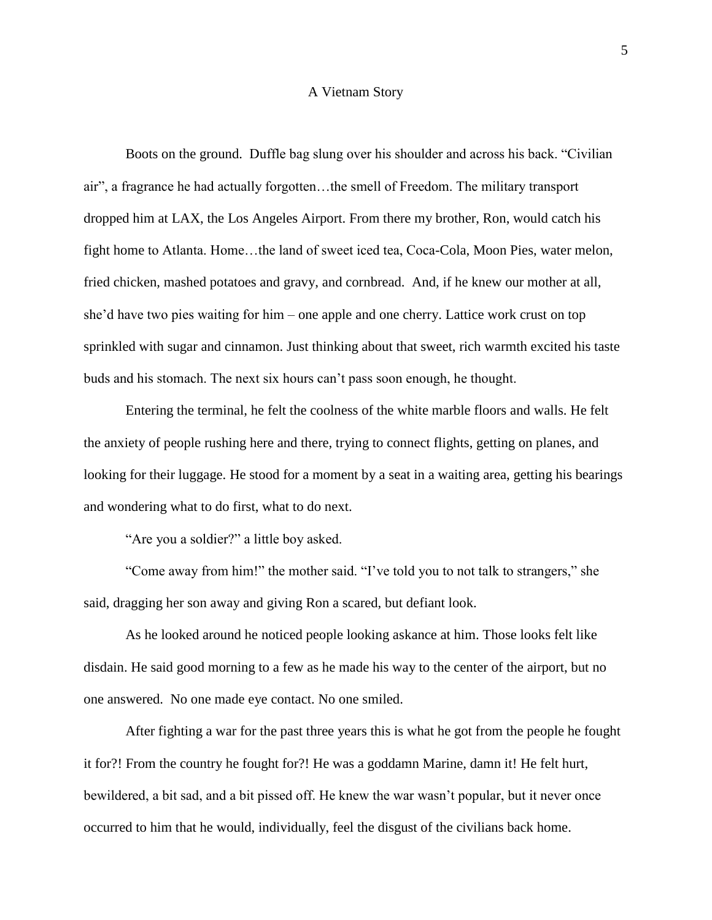#### A Vietnam Story

Boots on the ground. Duffle bag slung over his shoulder and across his back. "Civilian air", a fragrance he had actually forgotten…the smell of Freedom. The military transport dropped him at LAX, the Los Angeles Airport. From there my brother, Ron, would catch his fight home to Atlanta. Home…the land of sweet iced tea, Coca-Cola, Moon Pies, water melon, fried chicken, mashed potatoes and gravy, and cornbread. And, if he knew our mother at all, she'd have two pies waiting for him – one apple and one cherry. Lattice work crust on top sprinkled with sugar and cinnamon. Just thinking about that sweet, rich warmth excited his taste buds and his stomach. The next six hours can't pass soon enough, he thought.

Entering the terminal, he felt the coolness of the white marble floors and walls. He felt the anxiety of people rushing here and there, trying to connect flights, getting on planes, and looking for their luggage. He stood for a moment by a seat in a waiting area, getting his bearings and wondering what to do first, what to do next.

"Are you a soldier?" a little boy asked.

"Come away from him!" the mother said. "I've told you to not talk to strangers," she said, dragging her son away and giving Ron a scared, but defiant look.

As he looked around he noticed people looking askance at him. Those looks felt like disdain. He said good morning to a few as he made his way to the center of the airport, but no one answered. No one made eye contact. No one smiled.

After fighting a war for the past three years this is what he got from the people he fought it for?! From the country he fought for?! He was a goddamn Marine, damn it! He felt hurt, bewildered, a bit sad, and a bit pissed off. He knew the war wasn't popular, but it never once occurred to him that he would, individually, feel the disgust of the civilians back home.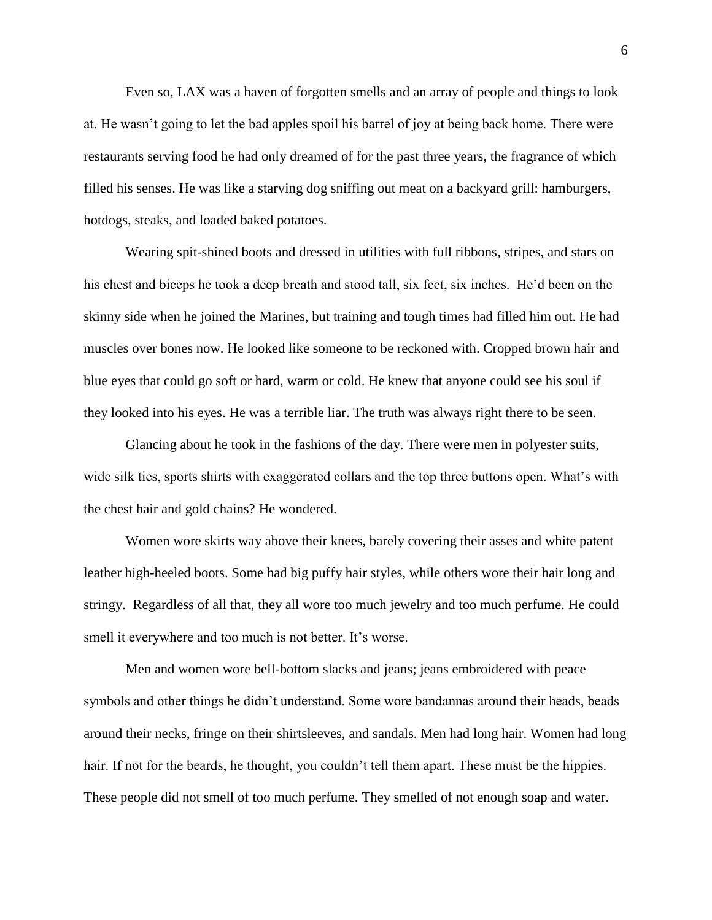Even so, LAX was a haven of forgotten smells and an array of people and things to look at. He wasn't going to let the bad apples spoil his barrel of joy at being back home. There were restaurants serving food he had only dreamed of for the past three years, the fragrance of which filled his senses. He was like a starving dog sniffing out meat on a backyard grill: hamburgers, hotdogs, steaks, and loaded baked potatoes.

Wearing spit-shined boots and dressed in utilities with full ribbons, stripes, and stars on his chest and biceps he took a deep breath and stood tall, six feet, six inches. He'd been on the skinny side when he joined the Marines, but training and tough times had filled him out. He had muscles over bones now. He looked like someone to be reckoned with. Cropped brown hair and blue eyes that could go soft or hard, warm or cold. He knew that anyone could see his soul if they looked into his eyes. He was a terrible liar. The truth was always right there to be seen.

Glancing about he took in the fashions of the day. There were men in polyester suits, wide silk ties, sports shirts with exaggerated collars and the top three buttons open. What's with the chest hair and gold chains? He wondered.

Women wore skirts way above their knees, barely covering their asses and white patent leather high-heeled boots. Some had big puffy hair styles, while others wore their hair long and stringy. Regardless of all that, they all wore too much jewelry and too much perfume. He could smell it everywhere and too much is not better. It's worse.

Men and women wore bell-bottom slacks and jeans; jeans embroidered with peace symbols and other things he didn't understand. Some wore bandannas around their heads, beads around their necks, fringe on their shirtsleeves, and sandals. Men had long hair. Women had long hair. If not for the beards, he thought, you couldn't tell them apart. These must be the hippies. These people did not smell of too much perfume. They smelled of not enough soap and water.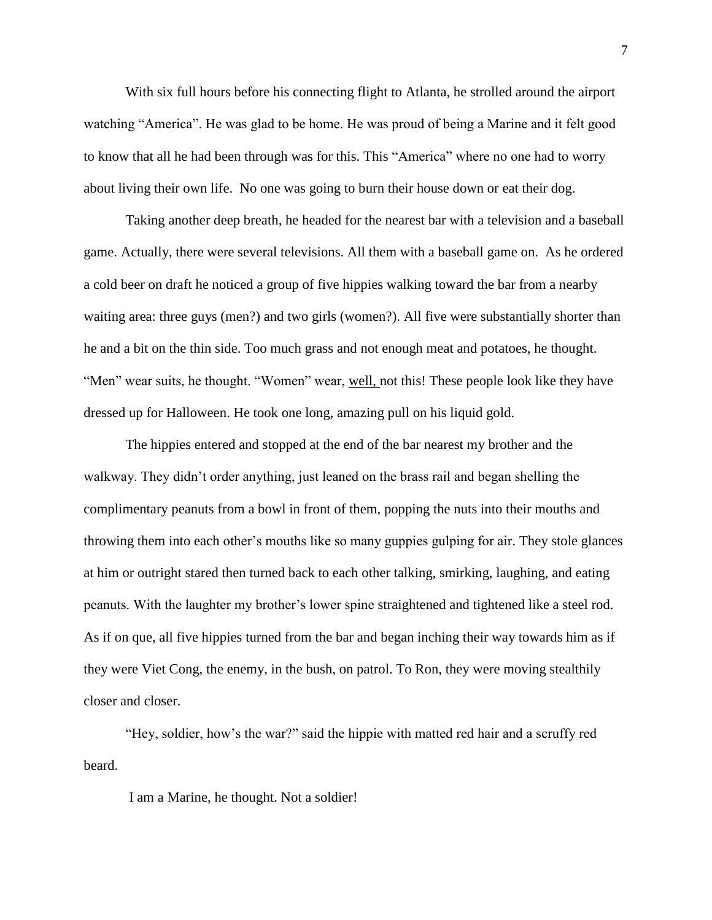With six full hours before his connecting flight to Atlanta, he strolled around the airport watching "America". He was glad to be home. He was proud of being a Marine and it felt good to know that all he had been through was for this. This "America" where no one had to worry about living their own life. No one was going to burn their house down or eat their dog.

Taking another deep breath, he headed for the nearest bar with a television and a baseball game. Actually, there were several televisions. All them with a baseball game on. As he ordered a cold beer on draft he noticed a group of five hippies walking toward the bar from a nearby waiting area: three guys (men?) and two girls (women?). All five were substantially shorter than he and a bit on the thin side. Too much grass and not enough meat and potatoes, he thought. "Men" wear suits, he thought. "Women" wear, well, not this! These people look like they have dressed up for Halloween. He took one long, amazing pull on his liquid gold.

The hippies entered and stopped at the end of the bar nearest my brother and the walkway. They didn't order anything, just leaned on the brass rail and began shelling the complimentary peanuts from a bowl in front of them, popping the nuts into their mouths and throwing them into each other's mouths like so many guppies gulping for air. They stole glances at him or outright stared then turned back to each other talking, smirking, laughing, and eating peanuts. With the laughter my brother's lower spine straightened and tightened like a steel rod. As if on que, all five hippies turned from the bar and began inching their way towards him as if they were Viet Cong, the enemy, in the bush, on patrol. To Ron, they were moving stealthily closer and closer.

"Hey, soldier, how's the war?" said the hippie with matted red hair and a scruffy red beard.

I am a Marine, he thought. Not a soldier!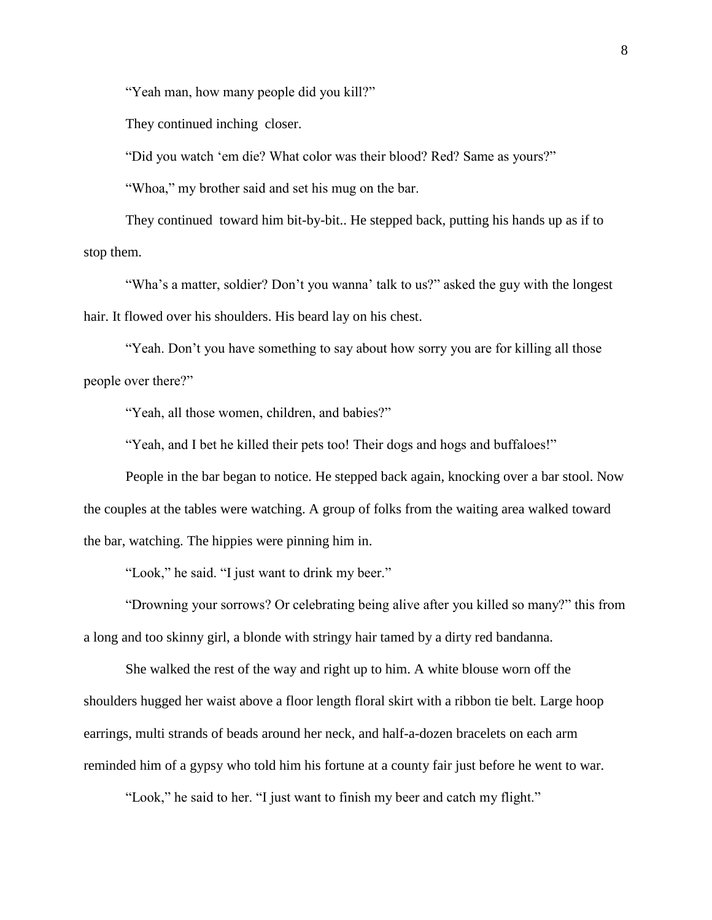"Yeah man, how many people did you kill?"

They continued inching closer.

"Did you watch 'em die? What color was their blood? Red? Same as yours?"

"Whoa," my brother said and set his mug on the bar.

They continued toward him bit-by-bit.. He stepped back, putting his hands up as if to stop them.

"Wha's a matter, soldier? Don't you wanna' talk to us?" asked the guy with the longest hair. It flowed over his shoulders. His beard lay on his chest.

"Yeah. Don't you have something to say about how sorry you are for killing all those people over there?"

"Yeah, all those women, children, and babies?"

"Yeah, and I bet he killed their pets too! Their dogs and hogs and buffaloes!"

People in the bar began to notice. He stepped back again, knocking over a bar stool. Now the couples at the tables were watching. A group of folks from the waiting area walked toward the bar, watching. The hippies were pinning him in.

"Look," he said. "I just want to drink my beer."

"Drowning your sorrows? Or celebrating being alive after you killed so many?" this from a long and too skinny girl, a blonde with stringy hair tamed by a dirty red bandanna.

She walked the rest of the way and right up to him. A white blouse worn off the shoulders hugged her waist above a floor length floral skirt with a ribbon tie belt. Large hoop earrings, multi strands of beads around her neck, and half-a-dozen bracelets on each arm reminded him of a gypsy who told him his fortune at a county fair just before he went to war.

"Look," he said to her. "I just want to finish my beer and catch my flight."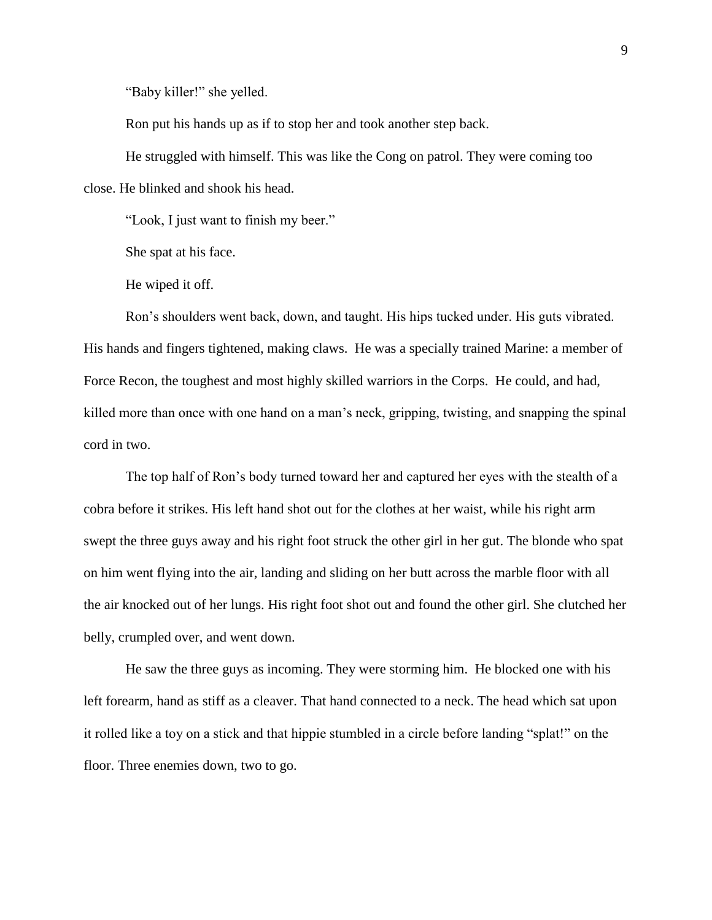"Baby killer!" she yelled.

Ron put his hands up as if to stop her and took another step back.

He struggled with himself. This was like the Cong on patrol. They were coming too close. He blinked and shook his head.

"Look, I just want to finish my beer."

She spat at his face.

He wiped it off.

Ron's shoulders went back, down, and taught. His hips tucked under. His guts vibrated. His hands and fingers tightened, making claws. He was a specially trained Marine: a member of Force Recon, the toughest and most highly skilled warriors in the Corps. He could, and had, killed more than once with one hand on a man's neck, gripping, twisting, and snapping the spinal cord in two.

The top half of Ron's body turned toward her and captured her eyes with the stealth of a cobra before it strikes. His left hand shot out for the clothes at her waist, while his right arm swept the three guys away and his right foot struck the other girl in her gut. The blonde who spat on him went flying into the air, landing and sliding on her butt across the marble floor with all the air knocked out of her lungs. His right foot shot out and found the other girl. She clutched her belly, crumpled over, and went down.

He saw the three guys as incoming. They were storming him. He blocked one with his left forearm, hand as stiff as a cleaver. That hand connected to a neck. The head which sat upon it rolled like a toy on a stick and that hippie stumbled in a circle before landing "splat!" on the floor. Three enemies down, two to go.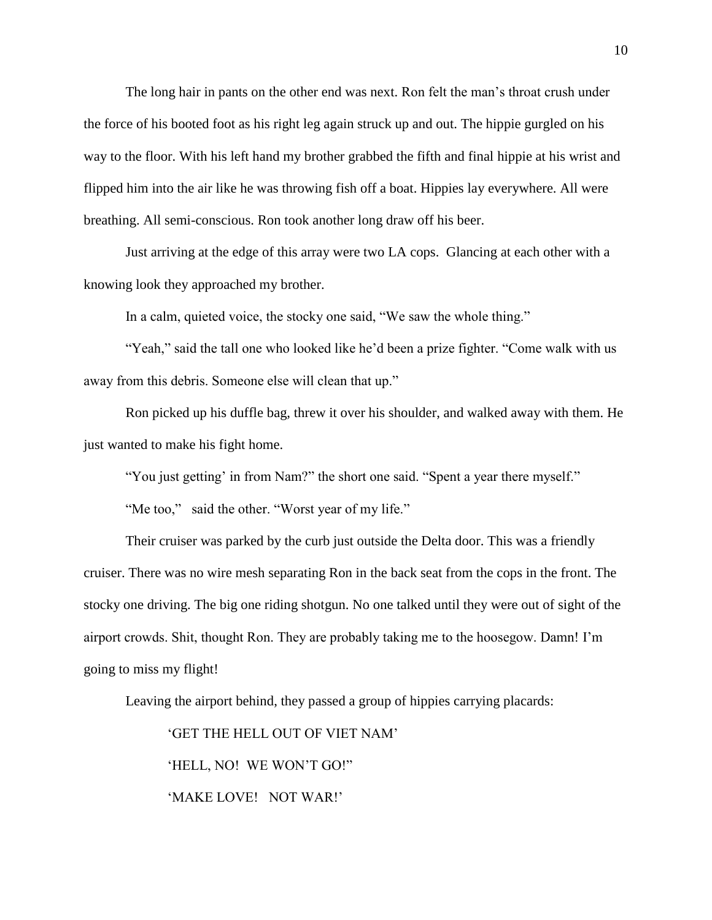The long hair in pants on the other end was next. Ron felt the man's throat crush under the force of his booted foot as his right leg again struck up and out. The hippie gurgled on his way to the floor. With his left hand my brother grabbed the fifth and final hippie at his wrist and flipped him into the air like he was throwing fish off a boat. Hippies lay everywhere. All were breathing. All semi-conscious. Ron took another long draw off his beer.

Just arriving at the edge of this array were two LA cops. Glancing at each other with a knowing look they approached my brother.

In a calm, quieted voice, the stocky one said, "We saw the whole thing."

"Yeah," said the tall one who looked like he'd been a prize fighter. "Come walk with us away from this debris. Someone else will clean that up."

Ron picked up his duffle bag, threw it over his shoulder, and walked away with them. He just wanted to make his fight home.

"You just getting' in from Nam?" the short one said. "Spent a year there myself."

"Me too," said the other. "Worst year of my life."

Their cruiser was parked by the curb just outside the Delta door. This was a friendly cruiser. There was no wire mesh separating Ron in the back seat from the cops in the front. The stocky one driving. The big one riding shotgun. No one talked until they were out of sight of the airport crowds. Shit, thought Ron. They are probably taking me to the hoosegow. Damn! I'm going to miss my flight!

Leaving the airport behind, they passed a group of hippies carrying placards:

'GET THE HELL OUT OF VIET NAM'

'HELL, NO! WE WON'T GO!"

'MAKE LOVE! NOT WAR!'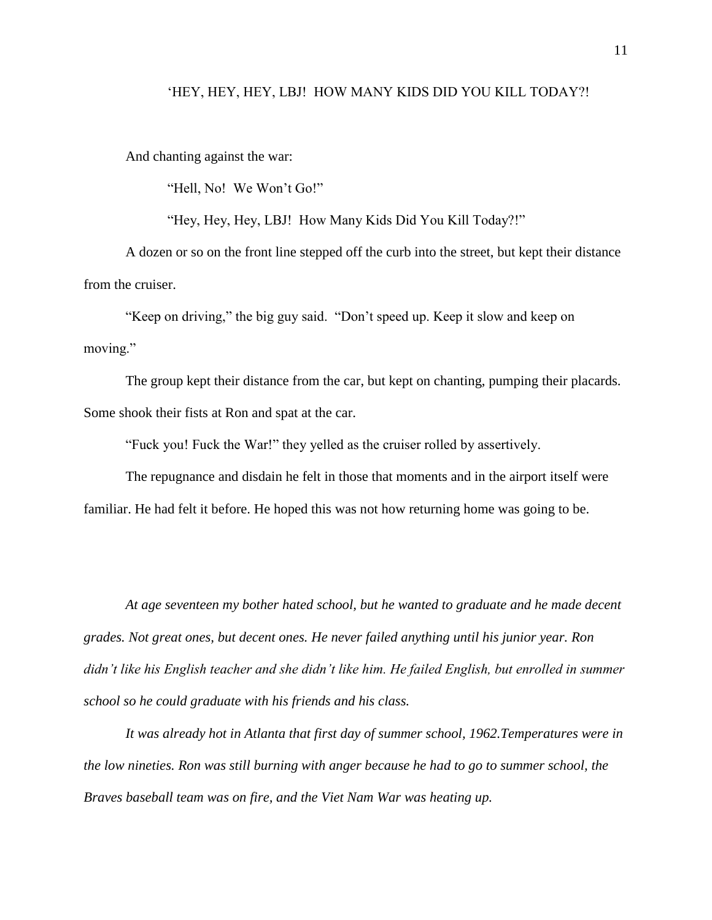#### 'HEY, HEY, HEY, LBJ! HOW MANY KIDS DID YOU KILL TODAY?!

And chanting against the war:

"Hell, No! We Won't Go!"

"Hey, Hey, Hey, LBJ! How Many Kids Did You Kill Today?!"

A dozen or so on the front line stepped off the curb into the street, but kept their distance from the cruiser.

"Keep on driving," the big guy said. "Don't speed up. Keep it slow and keep on moving."

The group kept their distance from the car, but kept on chanting, pumping their placards. Some shook their fists at Ron and spat at the car.

"Fuck you! Fuck the War!" they yelled as the cruiser rolled by assertively.

The repugnance and disdain he felt in those that moments and in the airport itself were familiar. He had felt it before. He hoped this was not how returning home was going to be.

*At age seventeen my bother hated school, but he wanted to graduate and he made decent grades. Not great ones, but decent ones. He never failed anything until his junior year. Ron didn't like his English teacher and she didn't like him. He failed English, but enrolled in summer school so he could graduate with his friends and his class.*

*It was already hot in Atlanta that first day of summer school, 1962.Temperatures were in the low nineties. Ron was still burning with anger because he had to go to summer school, the Braves baseball team was on fire, and the Viet Nam War was heating up.*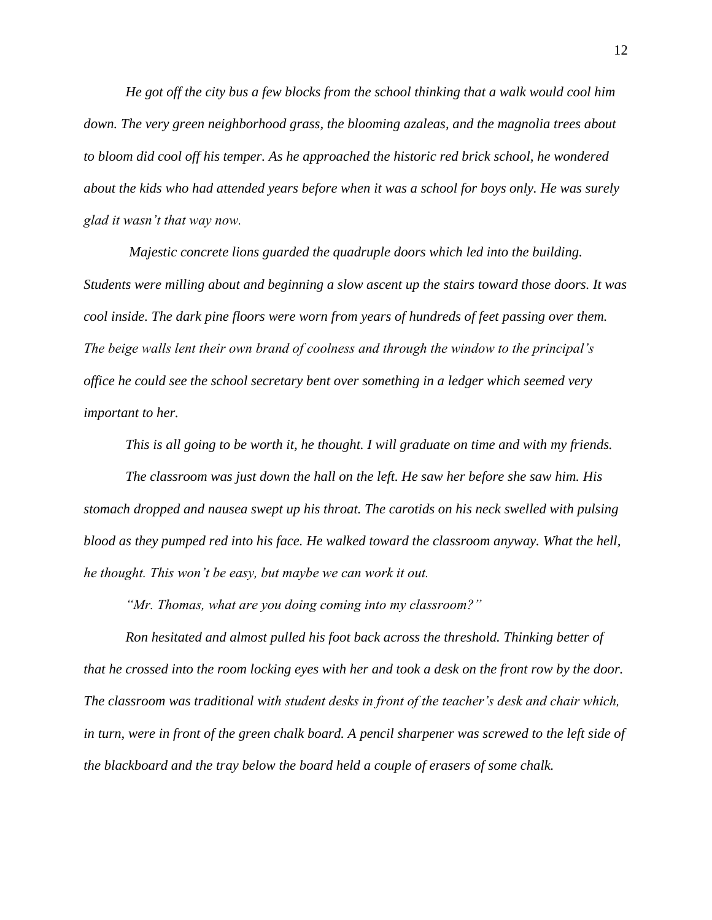*He got off the city bus a few blocks from the school thinking that a walk would cool him down. The very green neighborhood grass, the blooming azaleas, and the magnolia trees about to bloom did cool off his temper. As he approached the historic red brick school, he wondered about the kids who had attended years before when it was a school for boys only. He was surely glad it wasn't that way now.*

*Majestic concrete lions guarded the quadruple doors which led into the building. Students were milling about and beginning a slow ascent up the stairs toward those doors. It was cool inside. The dark pine floors were worn from years of hundreds of feet passing over them. The beige walls lent their own brand of coolness and through the window to the principal's office he could see the school secretary bent over something in a ledger which seemed very important to her.*

*This is all going to be worth it, he thought. I will graduate on time and with my friends. The classroom was just down the hall on the left. He saw her before she saw him. His stomach dropped and nausea swept up his throat. The carotids on his neck swelled with pulsing blood as they pumped red into his face. He walked toward the classroom anyway. What the hell, he thought. This won't be easy, but maybe we can work it out.*

*"Mr. Thomas, what are you doing coming into my classroom?"*

*Ron hesitated and almost pulled his foot back across the threshold. Thinking better of that he crossed into the room locking eyes with her and took a desk on the front row by the door. The classroom was traditional with student desks in front of the teacher's desk and chair which, in turn, were in front of the green chalk board. A pencil sharpener was screwed to the left side of the blackboard and the tray below the board held a couple of erasers of some chalk.*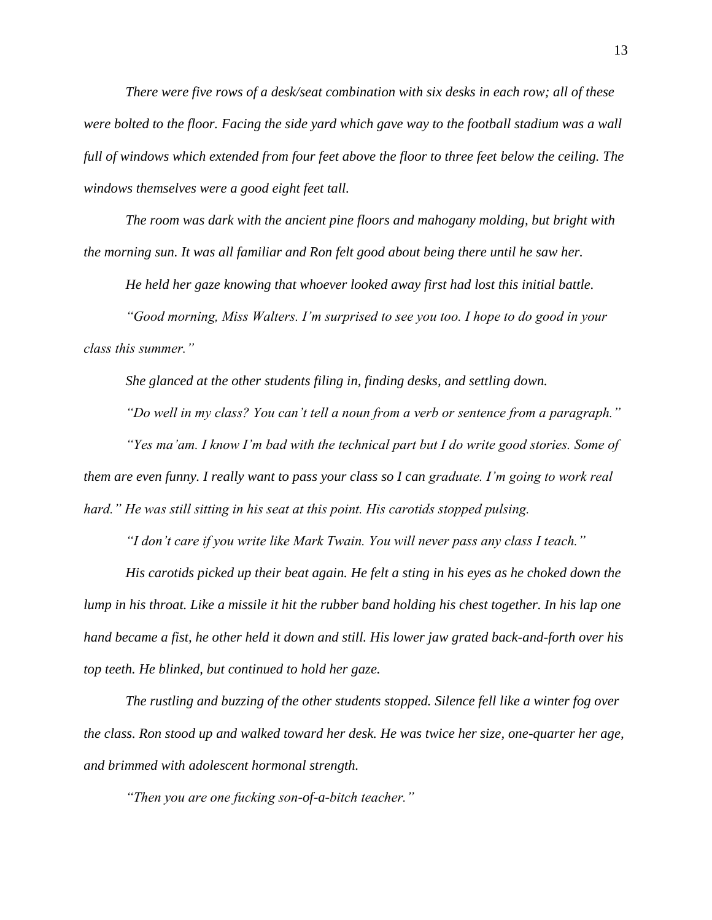*There were five rows of a desk/seat combination with six desks in each row; all of these were bolted to the floor. Facing the side yard which gave way to the football stadium was a wall full of windows which extended from four feet above the floor to three feet below the ceiling. The windows themselves were a good eight feet tall.*

*The room was dark with the ancient pine floors and mahogany molding, but bright with the morning sun. It was all familiar and Ron felt good about being there until he saw her.*

*He held her gaze knowing that whoever looked away first had lost this initial battle.*

*"Good morning, Miss Walters. I'm surprised to see you too. I hope to do good in your class this summer."*

*She glanced at the other students filing in, finding desks, and settling down.*

*"Do well in my class? You can't tell a noun from a verb or sentence from a paragraph."*

*"Yes ma'am. I know I'm bad with the technical part but I do write good stories. Some of them are even funny. I really want to pass your class so I can graduate. I'm going to work real hard." He was still sitting in his seat at this point. His carotids stopped pulsing.*

*"I don't care if you write like Mark Twain. You will never pass any class I teach."*

*His carotids picked up their beat again. He felt a sting in his eyes as he choked down the lump in his throat. Like a missile it hit the rubber band holding his chest together. In his lap one hand became a fist, he other held it down and still. His lower jaw grated back-and-forth over his top teeth. He blinked, but continued to hold her gaze.*

*The rustling and buzzing of the other students stopped. Silence fell like a winter fog over the class. Ron stood up and walked toward her desk. He was twice her size, one-quarter her age, and brimmed with adolescent hormonal strength.*

*"Then you are one fucking son-of-a-bitch teacher."*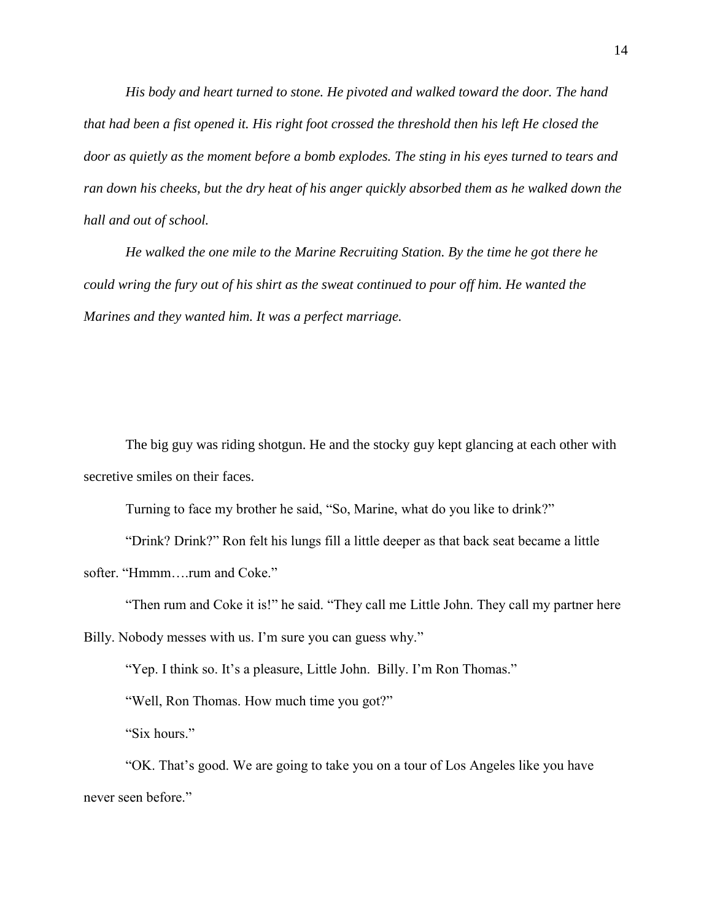*His body and heart turned to stone. He pivoted and walked toward the door. The hand that had been a fist opened it. His right foot crossed the threshold then his left He closed the door as quietly as the moment before a bomb explodes. The sting in his eyes turned to tears and ran down his cheeks, but the dry heat of his anger quickly absorbed them as he walked down the hall and out of school.*

*He walked the one mile to the Marine Recruiting Station. By the time he got there he could wring the fury out of his shirt as the sweat continued to pour off him. He wanted the Marines and they wanted him. It was a perfect marriage.* 

The big guy was riding shotgun. He and the stocky guy kept glancing at each other with secretive smiles on their faces.

Turning to face my brother he said, "So, Marine, what do you like to drink?"

"Drink? Drink?" Ron felt his lungs fill a little deeper as that back seat became a little softer. "Hmmm....rum and Coke."

"Then rum and Coke it is!" he said. "They call me Little John. They call my partner here Billy. Nobody messes with us. I'm sure you can guess why."

"Yep. I think so. It's a pleasure, Little John. Billy. I'm Ron Thomas."

"Well, Ron Thomas. How much time you got?"

"Six hours."

"OK. That's good. We are going to take you on a tour of Los Angeles like you have never seen before."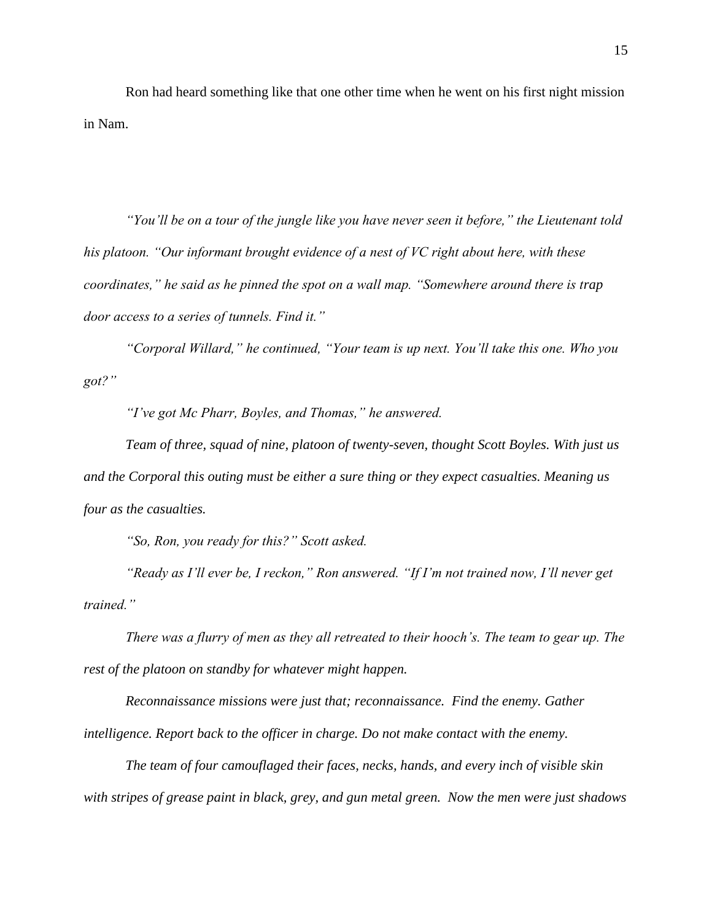Ron had heard something like that one other time when he went on his first night mission in Nam.

*"You'll be on a tour of the jungle like you have never seen it before," the Lieutenant told his platoon. "Our informant brought evidence of a nest of VC right about here, with these coordinates," he said as he pinned the spot on a wall map. "Somewhere around there is trap door access to a series of tunnels. Find it."*

*"Corporal Willard," he continued, "Your team is up next. You'll take this one. Who you got?"*

*"I've got Mc Pharr, Boyles, and Thomas," he answered.*

*Team of three, squad of nine, platoon of twenty-seven, thought Scott Boyles. With just us and the Corporal this outing must be either a sure thing or they expect casualties. Meaning us four as the casualties.*

*"So, Ron, you ready for this?" Scott asked.*

*"Ready as I'll ever be, I reckon," Ron answered. "If I'm not trained now, I'll never get trained."*

*There was a flurry of men as they all retreated to their hooch's. The team to gear up. The rest of the platoon on standby for whatever might happen.*

*Reconnaissance missions were just that; reconnaissance. Find the enemy. Gather intelligence. Report back to the officer in charge. Do not make contact with the enemy.*

*The team of four camouflaged their faces, necks, hands, and every inch of visible skin with stripes of grease paint in black, grey, and gun metal green. Now the men were just shadows*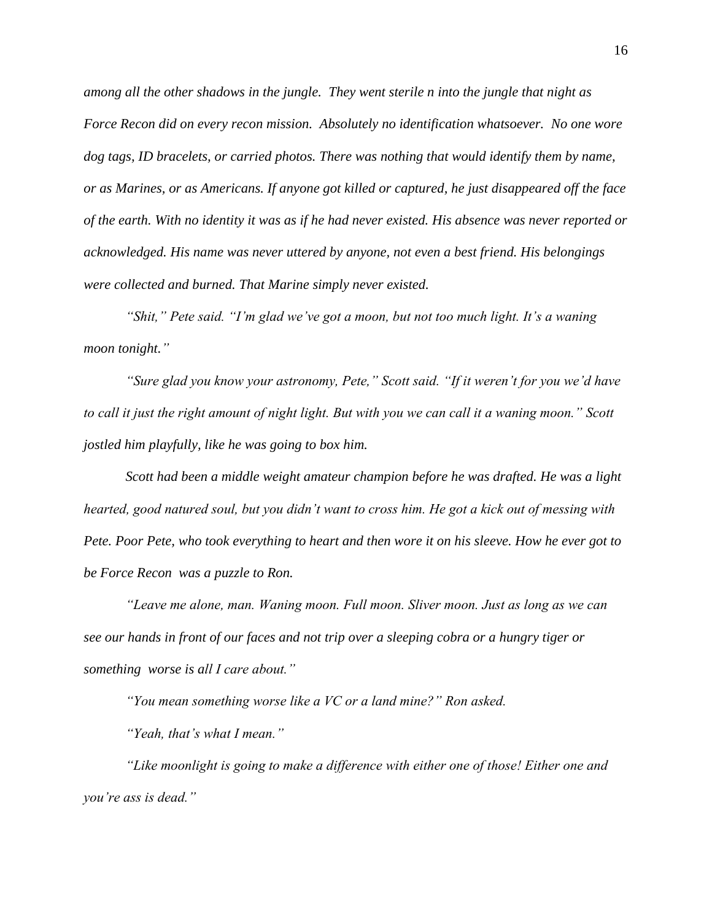*among all the other shadows in the jungle. They went sterile n into the jungle that night as Force Recon did on every recon mission. Absolutely no identification whatsoever. No one wore dog tags, ID bracelets, or carried photos. There was nothing that would identify them by name, or as Marines, or as Americans. If anyone got killed or captured, he just disappeared off the face of the earth. With no identity it was as if he had never existed. His absence was never reported or acknowledged. His name was never uttered by anyone, not even a best friend. His belongings were collected and burned. That Marine simply never existed.*

*"Shit," Pete said. "I'm glad we've got a moon, but not too much light. It's a waning moon tonight."*

*"Sure glad you know your astronomy, Pete," Scott said. "If it weren't for you we'd have to call it just the right amount of night light. But with you we can call it a waning moon." Scott jostled him playfully, like he was going to box him.*

*Scott had been a middle weight amateur champion before he was drafted. He was a light hearted, good natured soul, but you didn't want to cross him. He got a kick out of messing with Pete. Poor Pete, who took everything to heart and then wore it on his sleeve. How he ever got to be Force Recon was a puzzle to Ron.*

*"Leave me alone, man. Waning moon. Full moon. Sliver moon. Just as long as we can see our hands in front of our faces and not trip over a sleeping cobra or a hungry tiger or something worse is all I care about."*

*"You mean something worse like a VC or a land mine?" Ron asked.*

*"Yeah, that's what I mean."*

*"Like moonlight is going to make a difference with either one of those! Either one and you're ass is dead."*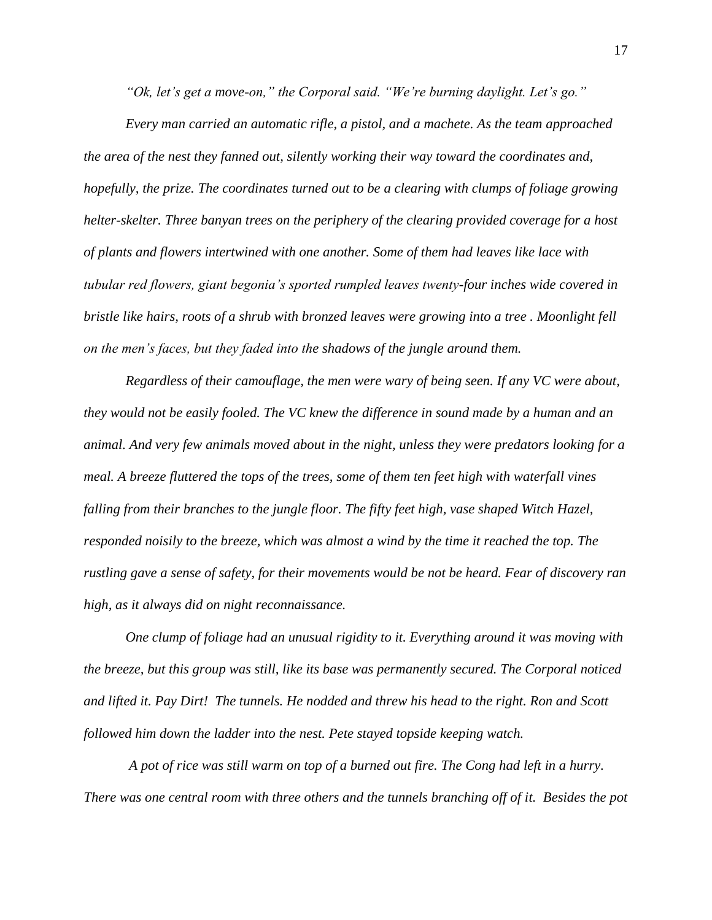*"Ok, let's get a move-on," the Corporal said. "We're burning daylight. Let's go."*

*Every man carried an automatic rifle, a pistol, and a machete. As the team approached the area of the nest they fanned out, silently working their way toward the coordinates and, hopefully, the prize. The coordinates turned out to be a clearing with clumps of foliage growing helter-skelter. Three banyan trees on the periphery of the clearing provided coverage for a host of plants and flowers intertwined with one another. Some of them had leaves like lace with tubular red flowers, giant begonia's sported rumpled leaves twenty-four inches wide covered in bristle like hairs, roots of a shrub with bronzed leaves were growing into a tree . Moonlight fell on the men's faces, but they faded into the shadows of the jungle around them.*

*Regardless of their camouflage, the men were wary of being seen. If any VC were about, they would not be easily fooled. The VC knew the difference in sound made by a human and an animal. And very few animals moved about in the night, unless they were predators looking for a meal. A breeze fluttered the tops of the trees, some of them ten feet high with waterfall vines falling from their branches to the jungle floor. The fifty feet high, vase shaped Witch Hazel, responded noisily to the breeze, which was almost a wind by the time it reached the top. The rustling gave a sense of safety, for their movements would be not be heard. Fear of discovery ran high, as it always did on night reconnaissance.* 

*One clump of foliage had an unusual rigidity to it. Everything around it was moving with the breeze, but this group was still, like its base was permanently secured. The Corporal noticed and lifted it. Pay Dirt! The tunnels. He nodded and threw his head to the right. Ron and Scott followed him down the ladder into the nest. Pete stayed topside keeping watch.* 

*A pot of rice was still warm on top of a burned out fire. The Cong had left in a hurry. There was one central room with three others and the tunnels branching off of it. Besides the pot*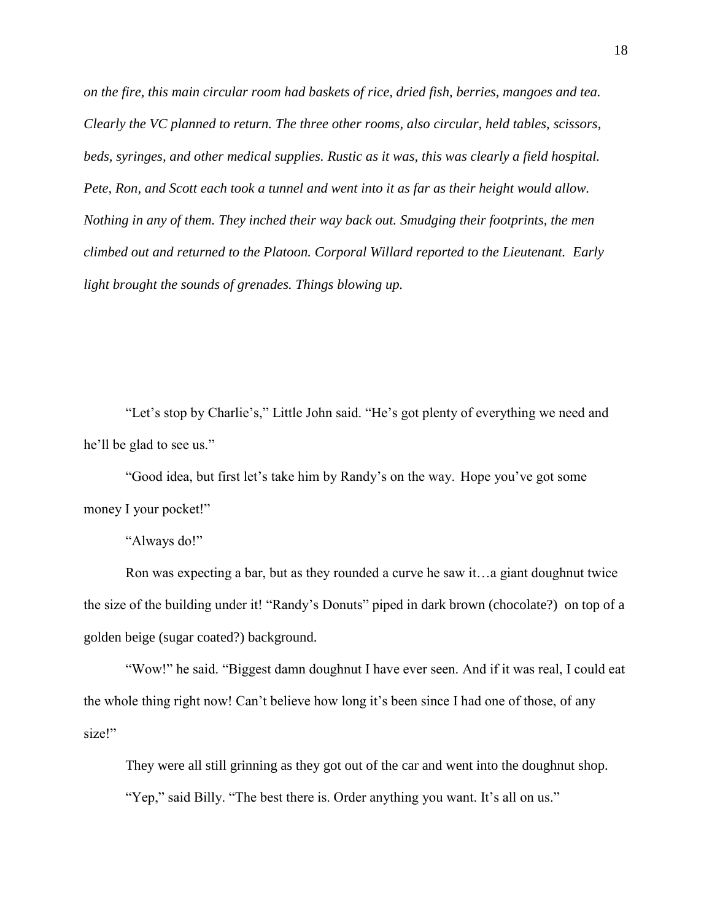*on the fire, this main circular room had baskets of rice, dried fish, berries, mangoes and tea. Clearly the VC planned to return. The three other rooms, also circular, held tables, scissors, beds, syringes, and other medical supplies. Rustic as it was, this was clearly a field hospital. Pete, Ron, and Scott each took a tunnel and went into it as far as their height would allow. Nothing in any of them. They inched their way back out. Smudging their footprints, the men climbed out and returned to the Platoon. Corporal Willard reported to the Lieutenant. Early light brought the sounds of grenades. Things blowing up.*

"Let's stop by Charlie's," Little John said. "He's got plenty of everything we need and he'll be glad to see us."

"Good idea, but first let's take him by Randy's on the way. Hope you've got some money I your pocket!"

"Always do!"

Ron was expecting a bar, but as they rounded a curve he saw it…a giant doughnut twice the size of the building under it! "Randy's Donuts" piped in dark brown (chocolate?) on top of a golden beige (sugar coated?) background.

"Wow!" he said. "Biggest damn doughnut I have ever seen. And if it was real, I could eat the whole thing right now! Can't believe how long it's been since I had one of those, of any size!"

They were all still grinning as they got out of the car and went into the doughnut shop. "Yep," said Billy. "The best there is. Order anything you want. It's all on us."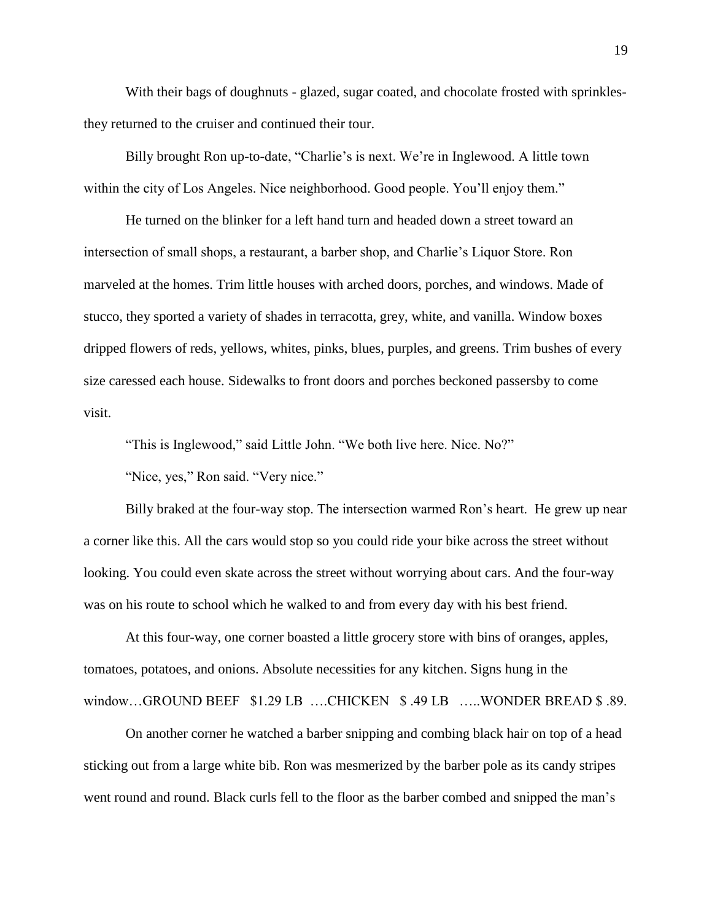With their bags of doughnuts - glazed, sugar coated, and chocolate frosted with sprinklesthey returned to the cruiser and continued their tour.

Billy brought Ron up-to-date, "Charlie's is next. We're in Inglewood. A little town within the city of Los Angeles. Nice neighborhood. Good people. You'll enjoy them."

He turned on the blinker for a left hand turn and headed down a street toward an intersection of small shops, a restaurant, a barber shop, and Charlie's Liquor Store. Ron marveled at the homes. Trim little houses with arched doors, porches, and windows. Made of stucco, they sported a variety of shades in terracotta, grey, white, and vanilla. Window boxes dripped flowers of reds, yellows, whites, pinks, blues, purples, and greens. Trim bushes of every size caressed each house. Sidewalks to front doors and porches beckoned passersby to come visit.

"This is Inglewood," said Little John. "We both live here. Nice. No?"

"Nice, yes," Ron said. "Very nice."

Billy braked at the four-way stop. The intersection warmed Ron's heart. He grew up near a corner like this. All the cars would stop so you could ride your bike across the street without looking. You could even skate across the street without worrying about cars. And the four-way was on his route to school which he walked to and from every day with his best friend.

At this four-way, one corner boasted a little grocery store with bins of oranges, apples, tomatoes, potatoes, and onions. Absolute necessities for any kitchen. Signs hung in the window...GROUND BEEF \$1.29 LB ....CHICKEN \$.49 LB ....WONDER BREAD \$.89.

On another corner he watched a barber snipping and combing black hair on top of a head sticking out from a large white bib. Ron was mesmerized by the barber pole as its candy stripes went round and round. Black curls fell to the floor as the barber combed and snipped the man's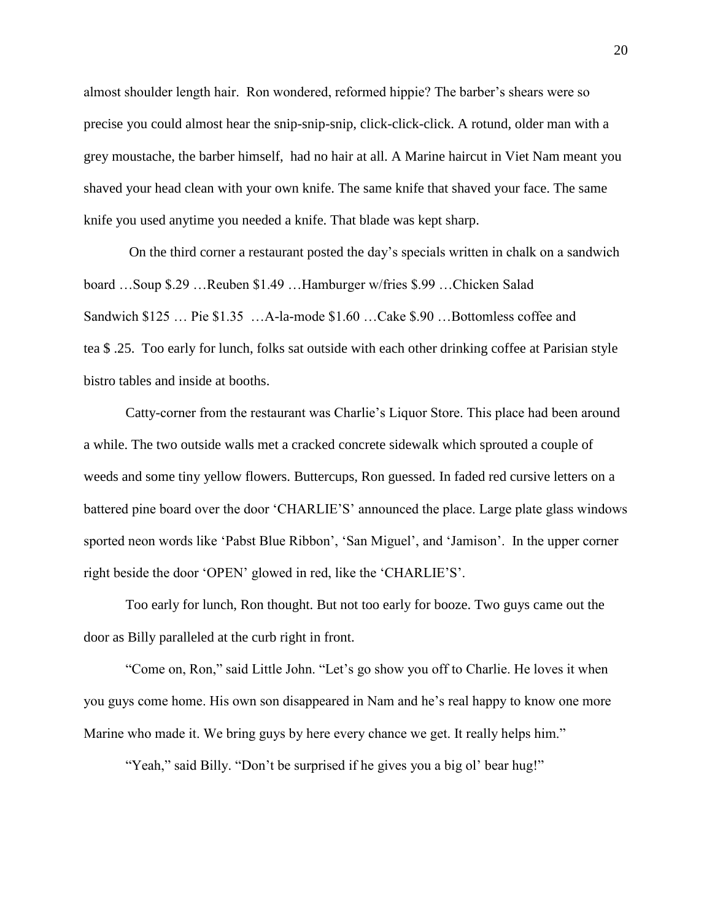almost shoulder length hair. Ron wondered, reformed hippie? The barber's shears were so precise you could almost hear the snip-snip-snip, click-click-click. A rotund, older man with a grey moustache, the barber himself, had no hair at all. A Marine haircut in Viet Nam meant you shaved your head clean with your own knife. The same knife that shaved your face. The same knife you used anytime you needed a knife. That blade was kept sharp.

On the third corner a restaurant posted the day's specials written in chalk on a sandwich board …Soup \$.29 …Reuben \$1.49 …Hamburger w/fries \$.99 …Chicken Salad Sandwich \$125 … Pie \$1.35 …A-la-mode \$1.60 …Cake \$.90 …Bottomless coffee and tea \$ .25. Too early for lunch, folks sat outside with each other drinking coffee at Parisian style bistro tables and inside at booths.

Catty-corner from the restaurant was Charlie's Liquor Store. This place had been around a while. The two outside walls met a cracked concrete sidewalk which sprouted a couple of weeds and some tiny yellow flowers. Buttercups, Ron guessed. In faded red cursive letters on a battered pine board over the door 'CHARLIE'S' announced the place. Large plate glass windows sported neon words like 'Pabst Blue Ribbon', 'San Miguel', and 'Jamison'. In the upper corner right beside the door 'OPEN' glowed in red, like the 'CHARLIE'S'.

Too early for lunch, Ron thought. But not too early for booze. Two guys came out the door as Billy paralleled at the curb right in front.

"Come on, Ron," said Little John. "Let's go show you off to Charlie. He loves it when you guys come home. His own son disappeared in Nam and he's real happy to know one more Marine who made it. We bring guys by here every chance we get. It really helps him."

"Yeah," said Billy. "Don't be surprised if he gives you a big ol' bear hug!"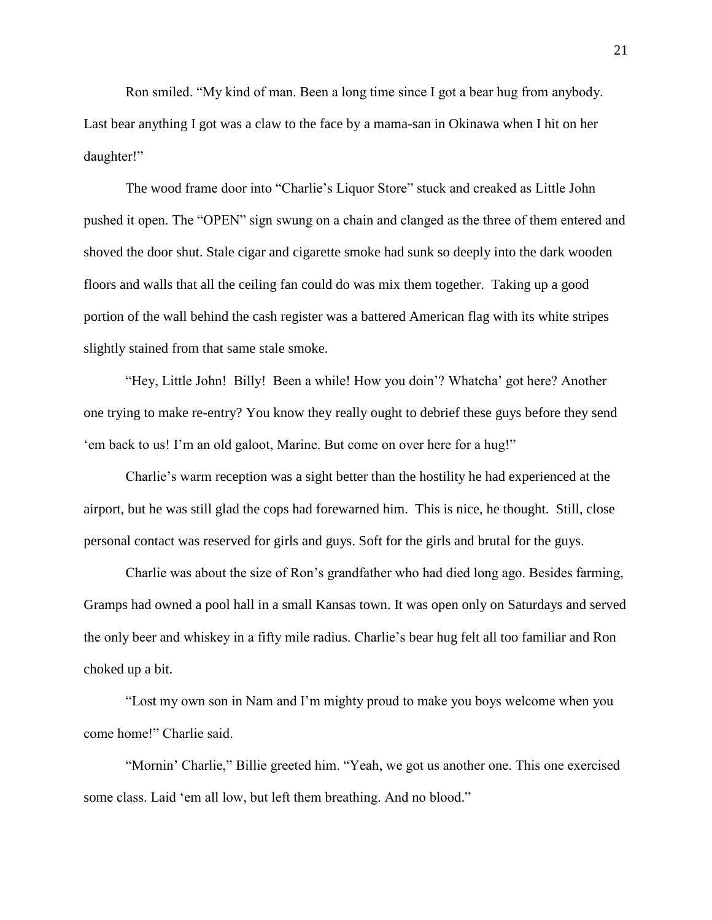Ron smiled. "My kind of man. Been a long time since I got a bear hug from anybody. Last bear anything I got was a claw to the face by a mama-san in Okinawa when I hit on her daughter!"

The wood frame door into "Charlie's Liquor Store" stuck and creaked as Little John pushed it open. The "OPEN" sign swung on a chain and clanged as the three of them entered and shoved the door shut. Stale cigar and cigarette smoke had sunk so deeply into the dark wooden floors and walls that all the ceiling fan could do was mix them together. Taking up a good portion of the wall behind the cash register was a battered American flag with its white stripes slightly stained from that same stale smoke.

"Hey, Little John! Billy! Been a while! How you doin'? Whatcha' got here? Another one trying to make re-entry? You know they really ought to debrief these guys before they send 'em back to us! I'm an old galoot, Marine. But come on over here for a hug!"

Charlie's warm reception was a sight better than the hostility he had experienced at the airport, but he was still glad the cops had forewarned him. This is nice, he thought. Still, close personal contact was reserved for girls and guys. Soft for the girls and brutal for the guys.

Charlie was about the size of Ron's grandfather who had died long ago. Besides farming, Gramps had owned a pool hall in a small Kansas town. It was open only on Saturdays and served the only beer and whiskey in a fifty mile radius. Charlie's bear hug felt all too familiar and Ron choked up a bit.

"Lost my own son in Nam and I'm mighty proud to make you boys welcome when you come home!" Charlie said.

"Mornin' Charlie," Billie greeted him. "Yeah, we got us another one. This one exercised some class. Laid 'em all low, but left them breathing. And no blood."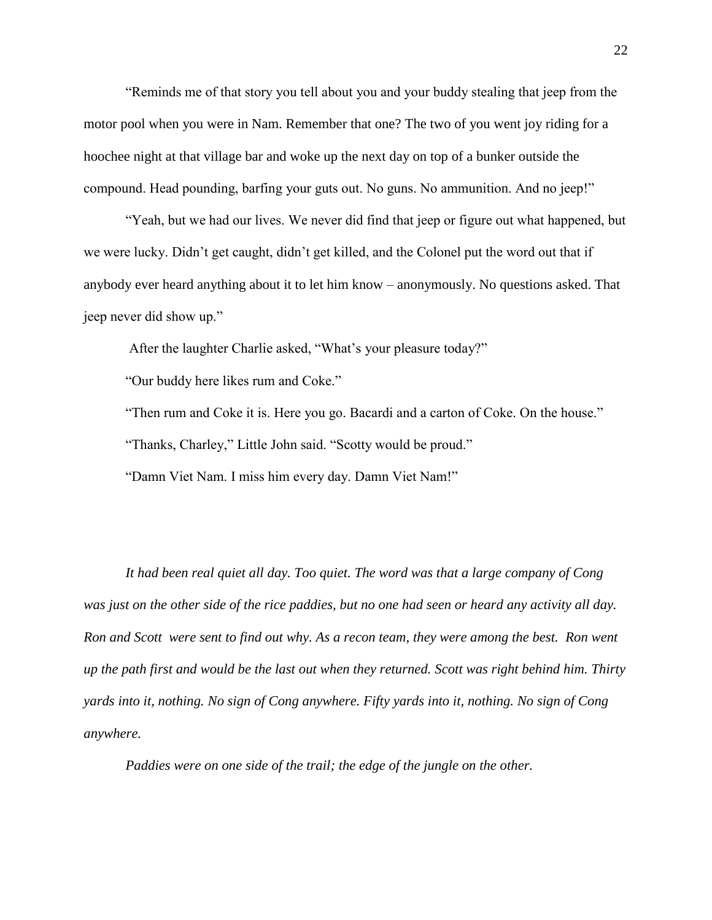"Reminds me of that story you tell about you and your buddy stealing that jeep from the motor pool when you were in Nam. Remember that one? The two of you went joy riding for a hoochee night at that village bar and woke up the next day on top of a bunker outside the compound. Head pounding, barfing your guts out. No guns. No ammunition. And no jeep!"

"Yeah, but we had our lives. We never did find that jeep or figure out what happened, but we were lucky. Didn't get caught, didn't get killed, and the Colonel put the word out that if anybody ever heard anything about it to let him know – anonymously. No questions asked. That jeep never did show up."

After the laughter Charlie asked, "What's your pleasure today?"

"Our buddy here likes rum and Coke."

"Then rum and Coke it is. Here you go. Bacardi and a carton of Coke. On the house." "Thanks, Charley," Little John said. "Scotty would be proud."

"Damn Viet Nam. I miss him every day. Damn Viet Nam!"

*It had been real quiet all day. Too quiet. The word was that a large company of Cong was just on the other side of the rice paddies, but no one had seen or heard any activity all day. Ron and Scott were sent to find out why. As a recon team, they were among the best. Ron went up the path first and would be the last out when they returned. Scott was right behind him. Thirty yards into it, nothing. No sign of Cong anywhere. Fifty yards into it, nothing. No sign of Cong anywhere.* 

*Paddies were on one side of the trail; the edge of the jungle on the other.*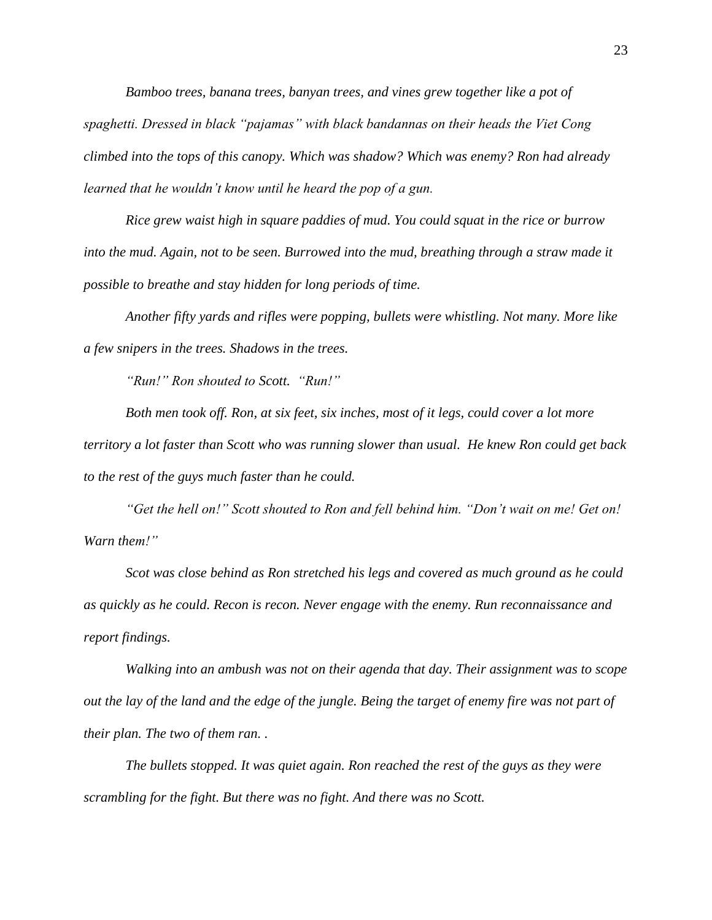*Bamboo trees, banana trees, banyan trees, and vines grew together like a pot of spaghetti. Dressed in black "pajamas" with black bandannas on their heads the Viet Cong climbed into the tops of this canopy. Which was shadow? Which was enemy? Ron had already learned that he wouldn't know until he heard the pop of a gun.*

*Rice grew waist high in square paddies of mud. You could squat in the rice or burrow into the mud. Again, not to be seen. Burrowed into the mud, breathing through a straw made it possible to breathe and stay hidden for long periods of time.*

*Another fifty yards and rifles were popping, bullets were whistling. Not many. More like a few snipers in the trees. Shadows in the trees.*

*"Run!" Ron shouted to Scott. "Run!"*

*Both men took off. Ron, at six feet, six inches, most of it legs, could cover a lot more territory a lot faster than Scott who was running slower than usual. He knew Ron could get back to the rest of the guys much faster than he could.*

*"Get the hell on!" Scott shouted to Ron and fell behind him. "Don't wait on me! Get on! Warn them!"*

*Scot was close behind as Ron stretched his legs and covered as much ground as he could as quickly as he could. Recon is recon. Never engage with the enemy. Run reconnaissance and report findings.*

*Walking into an ambush was not on their agenda that day. Their assignment was to scope out the lay of the land and the edge of the jungle. Being the target of enemy fire was not part of their plan. The two of them ran. .* 

*The bullets stopped. It was quiet again. Ron reached the rest of the guys as they were scrambling for the fight. But there was no fight. And there was no Scott.*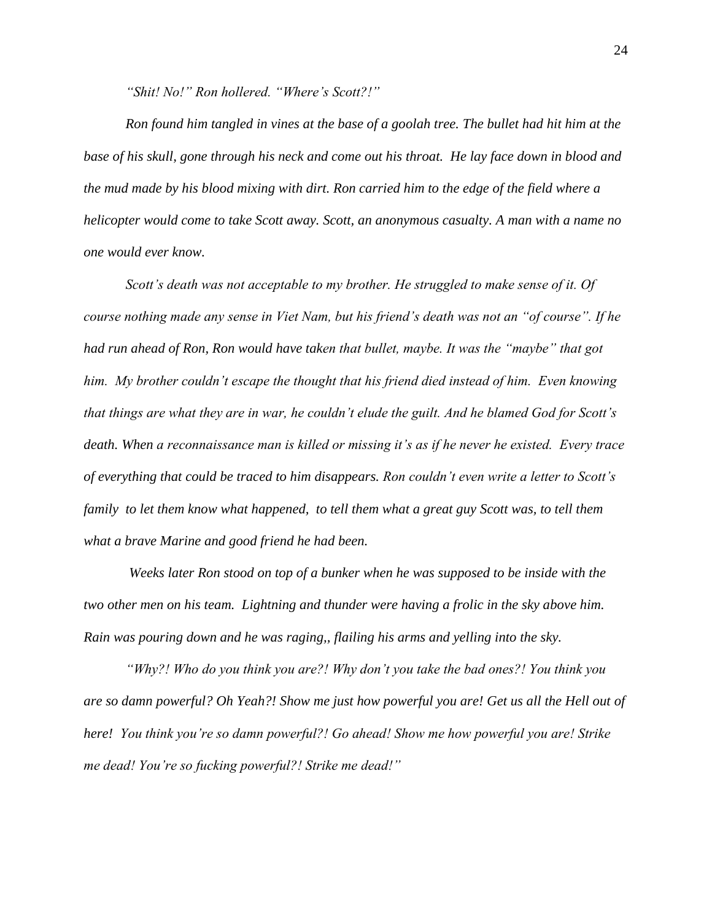*"Shit! No!" Ron hollered. "Where's Scott?!"*

*Ron found him tangled in vines at the base of a goolah tree. The bullet had hit him at the base of his skull, gone through his neck and come out his throat. He lay face down in blood and the mud made by his blood mixing with dirt. Ron carried him to the edge of the field where a helicopter would come to take Scott away. Scott, an anonymous casualty. A man with a name no one would ever know.*

*Scott's death was not acceptable to my brother. He struggled to make sense of it. Of course nothing made any sense in Viet Nam, but his friend's death was not an "of course". If he had run ahead of Ron, Ron would have taken that bullet, maybe. It was the "maybe" that got him. My brother couldn't escape the thought that his friend died instead of him. Even knowing that things are what they are in war, he couldn't elude the guilt. And he blamed God for Scott's death. When a reconnaissance man is killed or missing it's as if he never he existed. Every trace of everything that could be traced to him disappears. Ron couldn't even write a letter to Scott's family to let them know what happened, to tell them what a great guy Scott was, to tell them what a brave Marine and good friend he had been.*

*Weeks later Ron stood on top of a bunker when he was supposed to be inside with the two other men on his team. Lightning and thunder were having a frolic in the sky above him. Rain was pouring down and he was raging,, flailing his arms and yelling into the sky.*

*"Why?! Who do you think you are?! Why don't you take the bad ones?! You think you are so damn powerful? Oh Yeah?! Show me just how powerful you are! Get us all the Hell out of here! You think you're so damn powerful?! Go ahead! Show me how powerful you are! Strike me dead! You're so fucking powerful?! Strike me dead!"*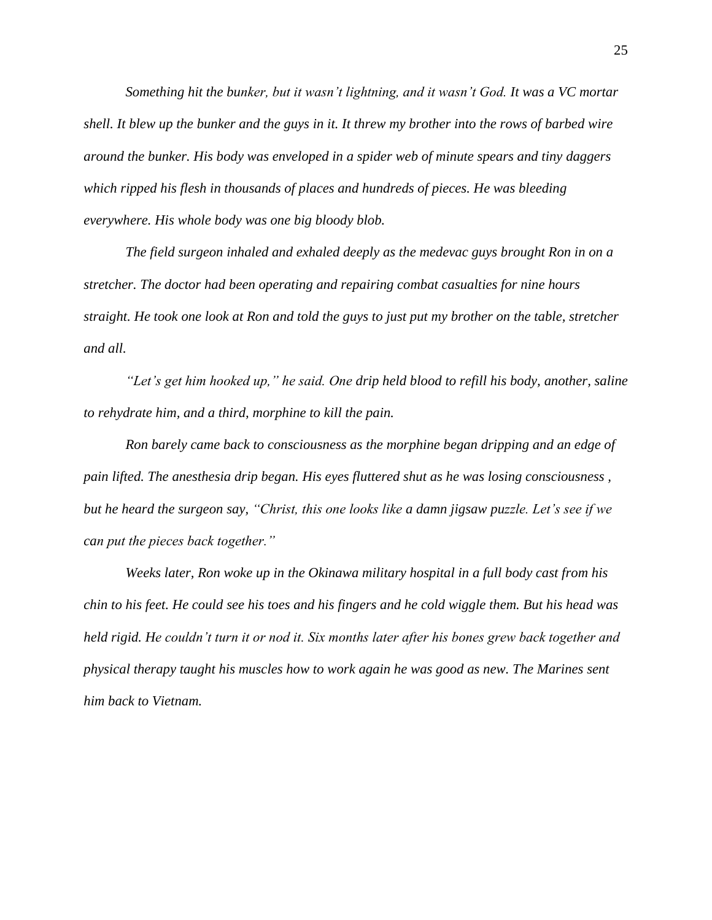*Something hit the bunker, but it wasn't lightning, and it wasn't God. It was a VC mortar shell. It blew up the bunker and the guys in it. It threw my brother into the rows of barbed wire around the bunker. His body was enveloped in a spider web of minute spears and tiny daggers which ripped his flesh in thousands of places and hundreds of pieces. He was bleeding everywhere. His whole body was one big bloody blob.*

*The field surgeon inhaled and exhaled deeply as the medevac guys brought Ron in on a stretcher. The doctor had been operating and repairing combat casualties for nine hours straight. He took one look at Ron and told the guys to just put my brother on the table, stretcher and all.* 

*"Let's get him hooked up," he said. One drip held blood to refill his body, another, saline to rehydrate him, and a third, morphine to kill the pain.*

*Ron barely came back to consciousness as the morphine began dripping and an edge of pain lifted. The anesthesia drip began. His eyes fluttered shut as he was losing consciousness , but he heard the surgeon say, "Christ, this one looks like a damn jigsaw puzzle. Let's see if we can put the pieces back together."*

*Weeks later, Ron woke up in the Okinawa military hospital in a full body cast from his chin to his feet. He could see his toes and his fingers and he cold wiggle them. But his head was held rigid. He couldn't turn it or nod it. Six months later after his bones grew back together and physical therapy taught his muscles how to work again he was good as new. The Marines sent him back to Vietnam.*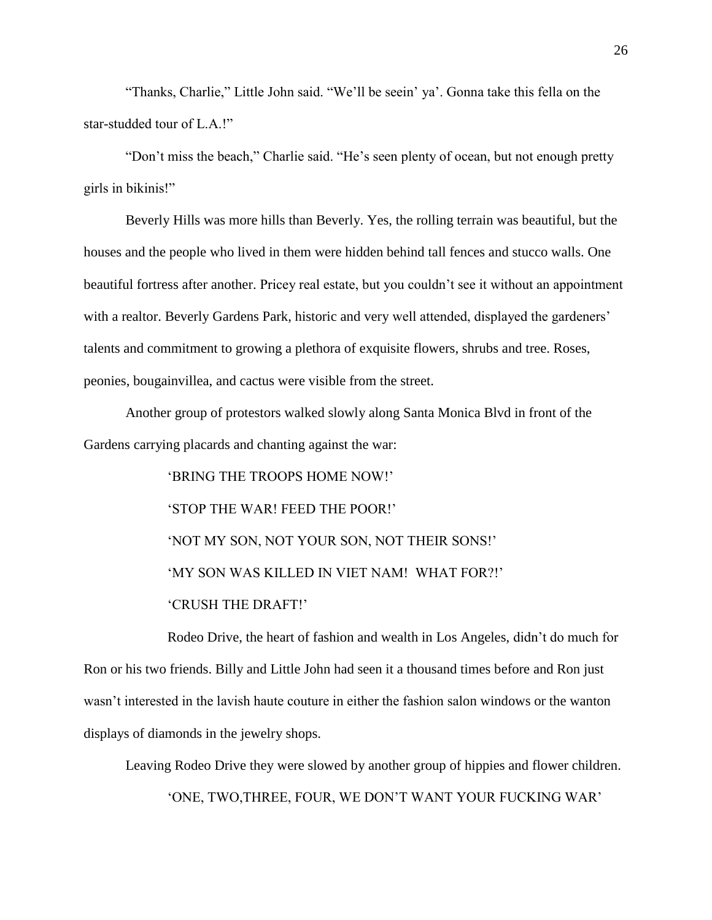"Thanks, Charlie," Little John said. "We'll be seein' ya'. Gonna take this fella on the star-studded tour of L.A.!"

"Don't miss the beach," Charlie said. "He's seen plenty of ocean, but not enough pretty girls in bikinis!"

Beverly Hills was more hills than Beverly. Yes, the rolling terrain was beautiful, but the houses and the people who lived in them were hidden behind tall fences and stucco walls. One beautiful fortress after another. Pricey real estate, but you couldn't see it without an appointment with a realtor. Beverly Gardens Park, historic and very well attended, displayed the gardeners' talents and commitment to growing a plethora of exquisite flowers, shrubs and tree. Roses, peonies, bougainvillea, and cactus were visible from the street.

Another group of protestors walked slowly along Santa Monica Blvd in front of the Gardens carrying placards and chanting against the war:

> 'BRING THE TROOPS HOME NOW!' 'STOP THE WAR! FEED THE POOR!' 'NOT MY SON, NOT YOUR SON, NOT THEIR SONS!' 'MY SON WAS KILLED IN VIET NAM! WHAT FOR?!' 'CRUSH THE DRAFT!'

Rodeo Drive, the heart of fashion and wealth in Los Angeles, didn't do much for Ron or his two friends. Billy and Little John had seen it a thousand times before and Ron just wasn't interested in the lavish haute couture in either the fashion salon windows or the wanton displays of diamonds in the jewelry shops.

Leaving Rodeo Drive they were slowed by another group of hippies and flower children. 'ONE, TWO,THREE, FOUR, WE DON'T WANT YOUR FUCKING WAR'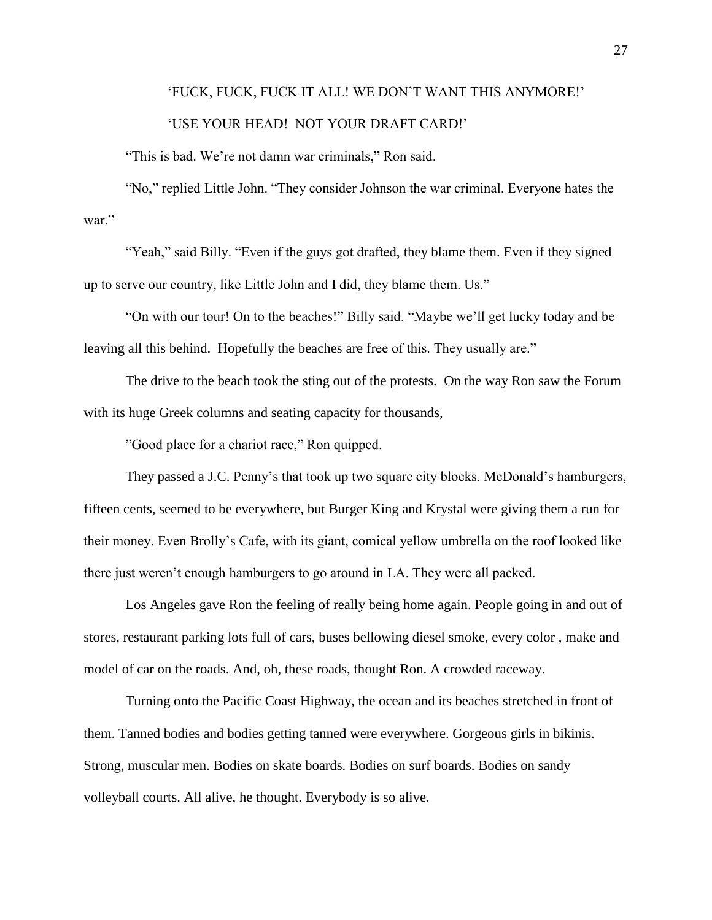#### 'FUCK, FUCK, FUCK IT ALL! WE DON'T WANT THIS ANYMORE!'

#### 'USE YOUR HEAD! NOT YOUR DRAFT CARD!'

"This is bad. We're not damn war criminals," Ron said.

"No," replied Little John. "They consider Johnson the war criminal. Everyone hates the war."

"Yeah," said Billy. "Even if the guys got drafted, they blame them. Even if they signed up to serve our country, like Little John and I did, they blame them. Us."

"On with our tour! On to the beaches!" Billy said. "Maybe we'll get lucky today and be leaving all this behind. Hopefully the beaches are free of this. They usually are."

The drive to the beach took the sting out of the protests. On the way Ron saw the Forum with its huge Greek columns and seating capacity for thousands,

"Good place for a chariot race," Ron quipped.

They passed a J.C. Penny's that took up two square city blocks. McDonald's hamburgers, fifteen cents, seemed to be everywhere, but Burger King and Krystal were giving them a run for their money. Even Brolly's Cafe, with its giant, comical yellow umbrella on the roof looked like there just weren't enough hamburgers to go around in LA. They were all packed.

Los Angeles gave Ron the feeling of really being home again. People going in and out of stores, restaurant parking lots full of cars, buses bellowing diesel smoke, every color , make and model of car on the roads. And, oh, these roads, thought Ron. A crowded raceway.

Turning onto the Pacific Coast Highway, the ocean and its beaches stretched in front of them. Tanned bodies and bodies getting tanned were everywhere. Gorgeous girls in bikinis. Strong, muscular men. Bodies on skate boards. Bodies on surf boards. Bodies on sandy volleyball courts. All alive, he thought. Everybody is so alive.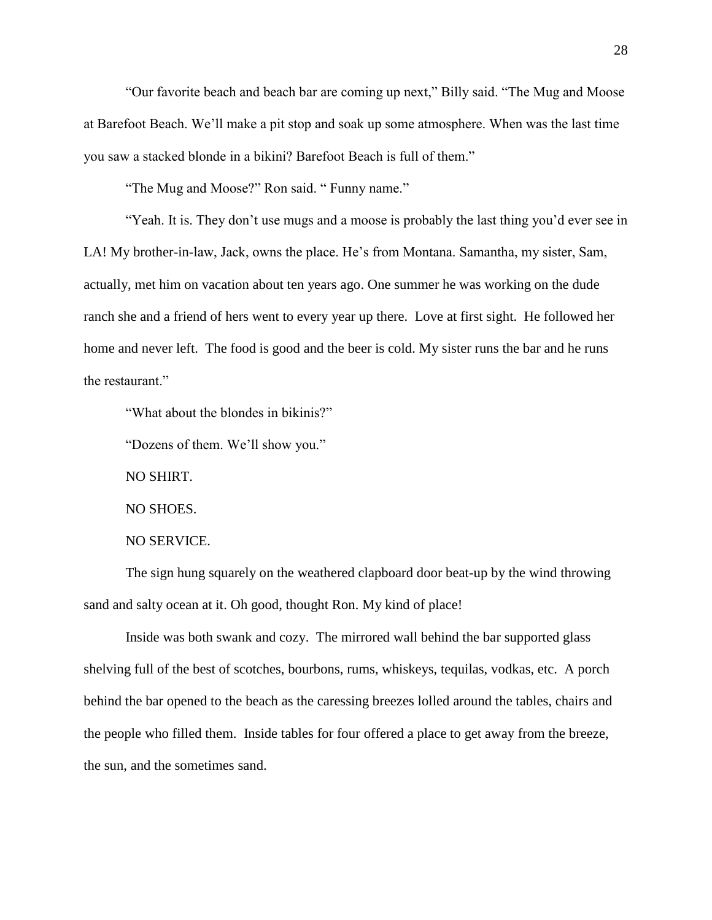"Our favorite beach and beach bar are coming up next," Billy said. "The Mug and Moose at Barefoot Beach. We'll make a pit stop and soak up some atmosphere. When was the last time you saw a stacked blonde in a bikini? Barefoot Beach is full of them."

"The Mug and Moose?" Ron said. " Funny name."

"Yeah. It is. They don't use mugs and a moose is probably the last thing you'd ever see in LA! My brother-in-law, Jack, owns the place. He's from Montana. Samantha, my sister, Sam, actually, met him on vacation about ten years ago. One summer he was working on the dude ranch she and a friend of hers went to every year up there. Love at first sight. He followed her home and never left. The food is good and the beer is cold. My sister runs the bar and he runs the restaurant."

"What about the blondes in bikinis?"

"Dozens of them. We'll show you."

NO SHIRT.

NO SHOES.

NO SERVICE.

The sign hung squarely on the weathered clapboard door beat-up by the wind throwing sand and salty ocean at it. Oh good, thought Ron. My kind of place!

Inside was both swank and cozy. The mirrored wall behind the bar supported glass shelving full of the best of scotches, bourbons, rums, whiskeys, tequilas, vodkas, etc. A porch behind the bar opened to the beach as the caressing breezes lolled around the tables, chairs and the people who filled them. Inside tables for four offered a place to get away from the breeze, the sun, and the sometimes sand.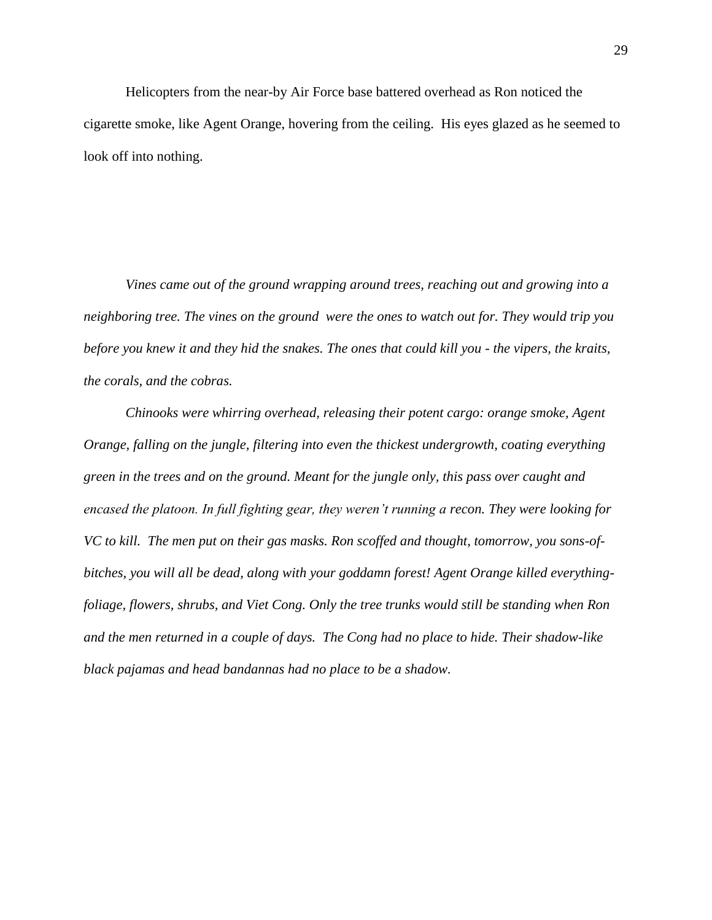Helicopters from the near-by Air Force base battered overhead as Ron noticed the cigarette smoke, like Agent Orange, hovering from the ceiling. His eyes glazed as he seemed to look off into nothing.

*Vines came out of the ground wrapping around trees, reaching out and growing into a neighboring tree. The vines on the ground were the ones to watch out for. They would trip you before you knew it and they hid the snakes. The ones that could kill you - the vipers, the kraits, the corals, and the cobras.*

*Chinooks were whirring overhead, releasing their potent cargo: orange smoke, Agent Orange, falling on the jungle, filtering into even the thickest undergrowth, coating everything green in the trees and on the ground. Meant for the jungle only, this pass over caught and encased the platoon. In full fighting gear, they weren't running a recon. They were looking for VC to kill. The men put on their gas masks. Ron scoffed and thought, tomorrow, you sons-ofbitches, you will all be dead, along with your goddamn forest! Agent Orange killed everythingfoliage, flowers, shrubs, and Viet Cong. Only the tree trunks would still be standing when Ron and the men returned in a couple of days. The Cong had no place to hide. Their shadow-like black pajamas and head bandannas had no place to be a shadow.*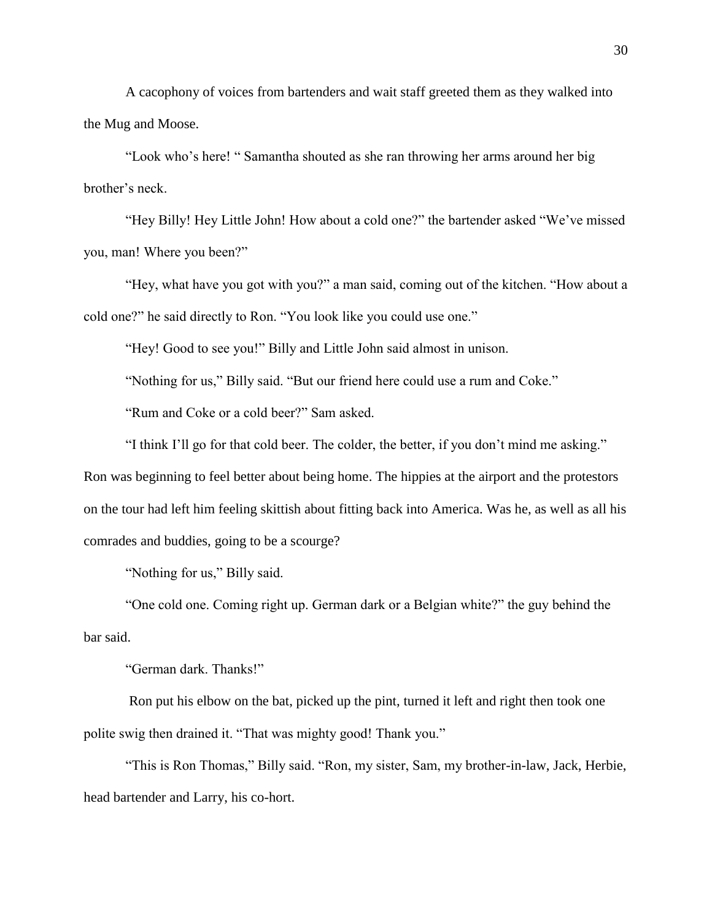A cacophony of voices from bartenders and wait staff greeted them as they walked into the Mug and Moose.

"Look who's here! " Samantha shouted as she ran throwing her arms around her big brother's neck.

"Hey Billy! Hey Little John! How about a cold one?" the bartender asked "We've missed you, man! Where you been?"

"Hey, what have you got with you?" a man said, coming out of the kitchen. "How about a cold one?" he said directly to Ron. "You look like you could use one."

"Hey! Good to see you!" Billy and Little John said almost in unison.

"Nothing for us," Billy said. "But our friend here could use a rum and Coke."

"Rum and Coke or a cold beer?" Sam asked.

"I think I'll go for that cold beer. The colder, the better, if you don't mind me asking."

Ron was beginning to feel better about being home. The hippies at the airport and the protestors on the tour had left him feeling skittish about fitting back into America. Was he, as well as all his comrades and buddies, going to be a scourge?

"Nothing for us," Billy said.

"One cold one. Coming right up. German dark or a Belgian white?" the guy behind the bar said.

"German dark. Thanks!"

Ron put his elbow on the bat, picked up the pint, turned it left and right then took one polite swig then drained it. "That was mighty good! Thank you."

"This is Ron Thomas," Billy said. "Ron, my sister, Sam, my brother-in-law, Jack, Herbie, head bartender and Larry, his co-hort.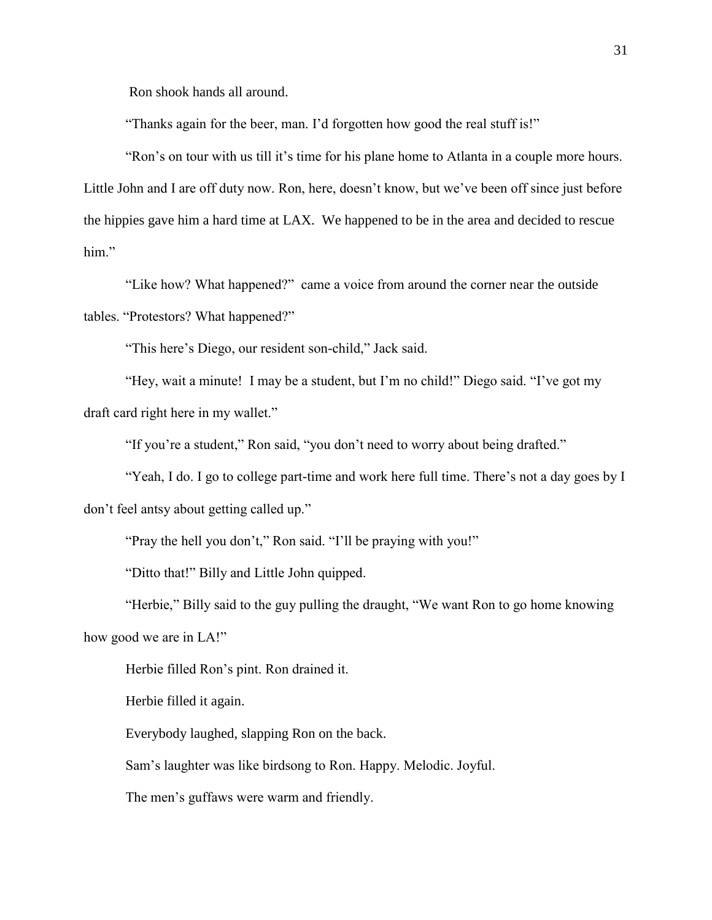Ron shook hands all around.

"Thanks again for the beer, man. I'd forgotten how good the real stuff is!"

"Ron's on tour with us till it's time for his plane home to Atlanta in a couple more hours. Little John and I are off duty now. Ron, here, doesn't know, but we've been off since just before the hippies gave him a hard time at LAX. We happened to be in the area and decided to rescue him."

"Like how? What happened?" came a voice from around the corner near the outside tables. "Protestors? What happened?"

"This here's Diego, our resident son-child," Jack said.

"Hey, wait a minute! I may be a student, but I'm no child!" Diego said. "I've got my draft card right here in my wallet."

"If you're a student," Ron said, "you don't need to worry about being drafted."

"Yeah, I do. I go to college part-time and work here full time. There's not a day goes by I don't feel antsy about getting called up."

"Pray the hell you don't," Ron said. "I'll be praying with you!"

"Ditto that!" Billy and Little John quipped.

"Herbie," Billy said to the guy pulling the draught, "We want Ron to go home knowing

how good we are in LA!"

Herbie filled Ron's pint. Ron drained it.

Herbie filled it again.

Everybody laughed, slapping Ron on the back.

Sam's laughter was like birdsong to Ron. Happy. Melodic. Joyful.

The men's guffaws were warm and friendly.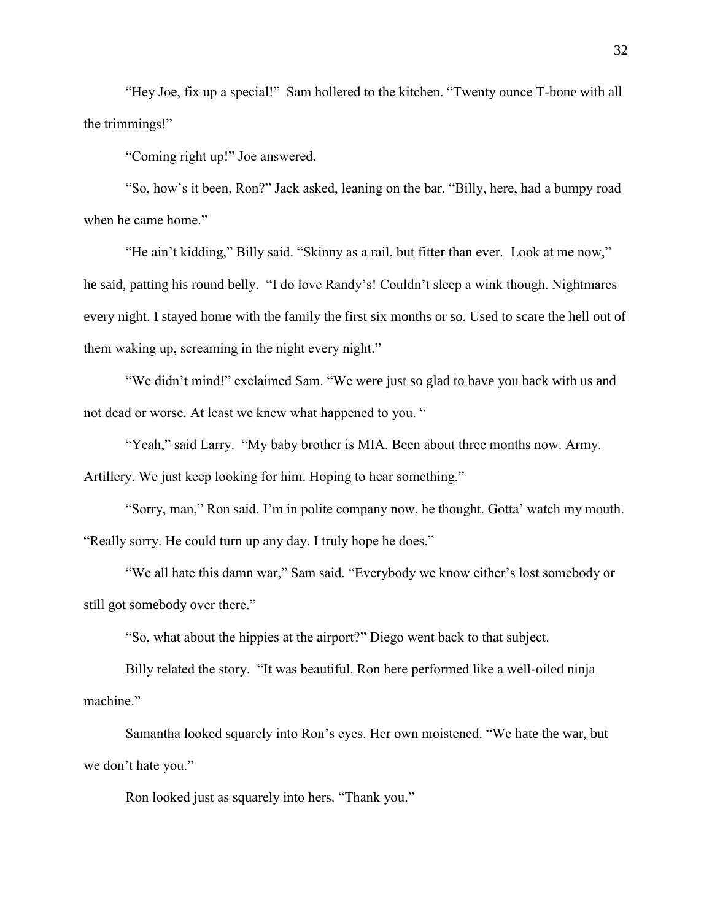"Hey Joe, fix up a special!" Sam hollered to the kitchen. "Twenty ounce T-bone with all the trimmings!"

"Coming right up!" Joe answered.

"So, how's it been, Ron?" Jack asked, leaning on the bar. "Billy, here, had a bumpy road when he came home."

"He ain't kidding," Billy said. "Skinny as a rail, but fitter than ever. Look at me now," he said, patting his round belly. "I do love Randy's! Couldn't sleep a wink though. Nightmares every night. I stayed home with the family the first six months or so. Used to scare the hell out of them waking up, screaming in the night every night."

"We didn't mind!" exclaimed Sam. "We were just so glad to have you back with us and not dead or worse. At least we knew what happened to you. "

"Yeah," said Larry. "My baby brother is MIA. Been about three months now. Army.

Artillery. We just keep looking for him. Hoping to hear something."

"Sorry, man," Ron said. I'm in polite company now, he thought. Gotta' watch my mouth. "Really sorry. He could turn up any day. I truly hope he does."

"We all hate this damn war," Sam said. "Everybody we know either's lost somebody or still got somebody over there."

"So, what about the hippies at the airport?" Diego went back to that subject.

Billy related the story. "It was beautiful. Ron here performed like a well-oiled ninja machine."

Samantha looked squarely into Ron's eyes. Her own moistened. "We hate the war, but we don't hate you."

Ron looked just as squarely into hers. "Thank you."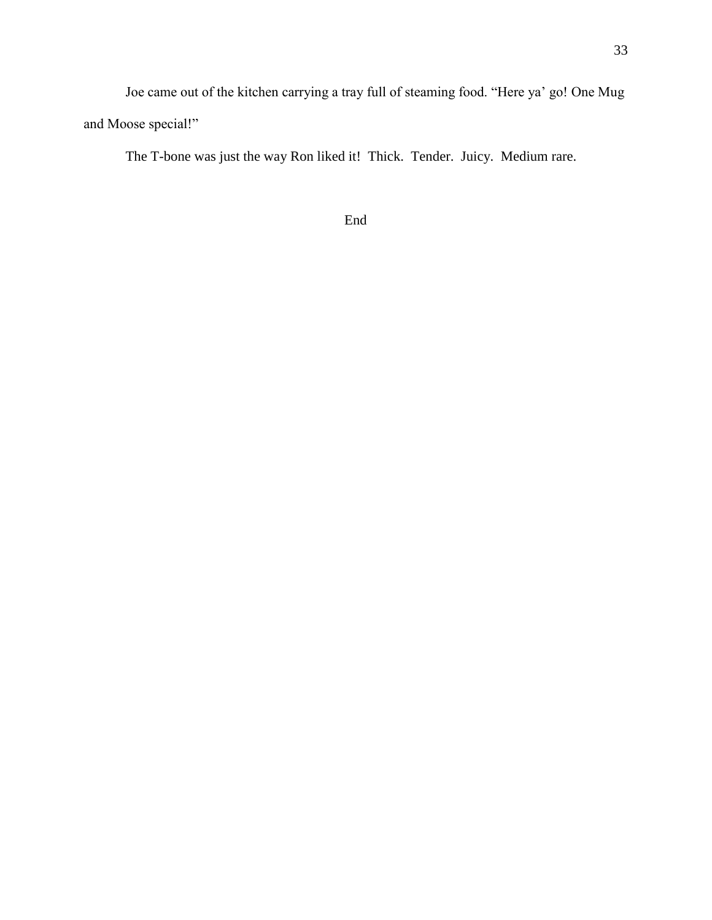Joe came out of the kitchen carrying a tray full of steaming food. "Here ya' go! One Mug and Moose special!"

The T-bone was just the way Ron liked it! Thick. Tender. Juicy. Medium rare.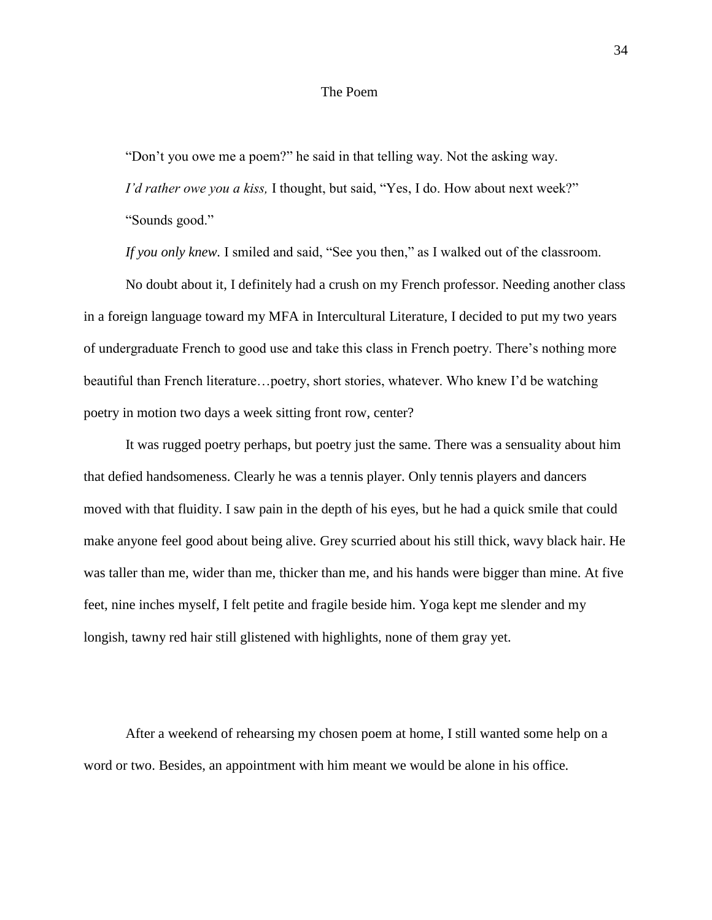#### The Poem

"Don't you owe me a poem?" he said in that telling way. Not the asking way.

*I'd rather owe you a kiss,* I thought, but said, "Yes, I do. How about next week?" "Sounds good."

*If you only knew.* I smiled and said, "See you then," as I walked out of the classroom.

No doubt about it, I definitely had a crush on my French professor. Needing another class in a foreign language toward my MFA in Intercultural Literature, I decided to put my two years of undergraduate French to good use and take this class in French poetry. There's nothing more beautiful than French literature…poetry, short stories, whatever. Who knew I'd be watching poetry in motion two days a week sitting front row, center?

It was rugged poetry perhaps, but poetry just the same. There was a sensuality about him that defied handsomeness. Clearly he was a tennis player. Only tennis players and dancers moved with that fluidity. I saw pain in the depth of his eyes, but he had a quick smile that could make anyone feel good about being alive. Grey scurried about his still thick, wavy black hair. He was taller than me, wider than me, thicker than me, and his hands were bigger than mine. At five feet, nine inches myself, I felt petite and fragile beside him. Yoga kept me slender and my longish, tawny red hair still glistened with highlights, none of them gray yet.

After a weekend of rehearsing my chosen poem at home, I still wanted some help on a word or two. Besides, an appointment with him meant we would be alone in his office.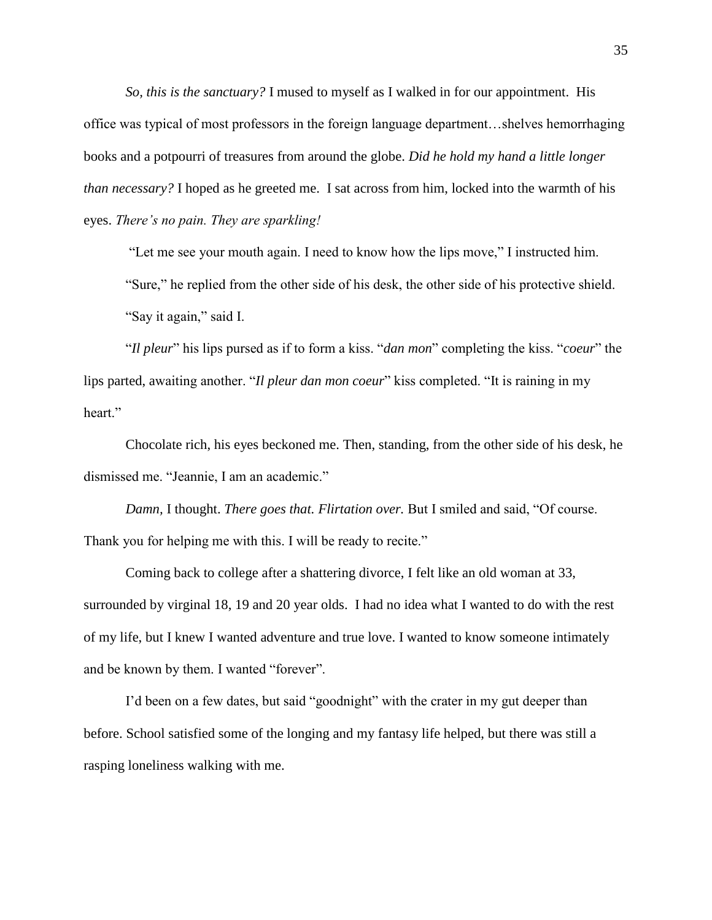*So, this is the sanctuary?* I mused to myself as I walked in for our appointment. His office was typical of most professors in the foreign language department…shelves hemorrhaging books and a potpourri of treasures from around the globe. *Did he hold my hand a little longer than necessary?* I hoped as he greeted me. I sat across from him, locked into the warmth of his eyes. *There's no pain. They are sparkling!* 

"Let me see your mouth again. I need to know how the lips move," I instructed him.

"Sure," he replied from the other side of his desk, the other side of his protective shield.

"Say it again," said I.

"*Il pleur*" his lips pursed as if to form a kiss. "*dan mon*" completing the kiss. "*coeur*" the lips parted, awaiting another. "*Il pleur dan mon coeur*" kiss completed. "It is raining in my heart."

Chocolate rich, his eyes beckoned me. Then, standing, from the other side of his desk, he dismissed me. "Jeannie, I am an academic."

*Damn,* I thought. *There goes that. Flirtation over.* But I smiled and said, "Of course. Thank you for helping me with this. I will be ready to recite."

Coming back to college after a shattering divorce, I felt like an old woman at 33, surrounded by virginal 18, 19 and 20 year olds. I had no idea what I wanted to do with the rest of my life, but I knew I wanted adventure and true love. I wanted to know someone intimately and be known by them. I wanted "forever".

I'd been on a few dates, but said "goodnight" with the crater in my gut deeper than before. School satisfied some of the longing and my fantasy life helped, but there was still a rasping loneliness walking with me.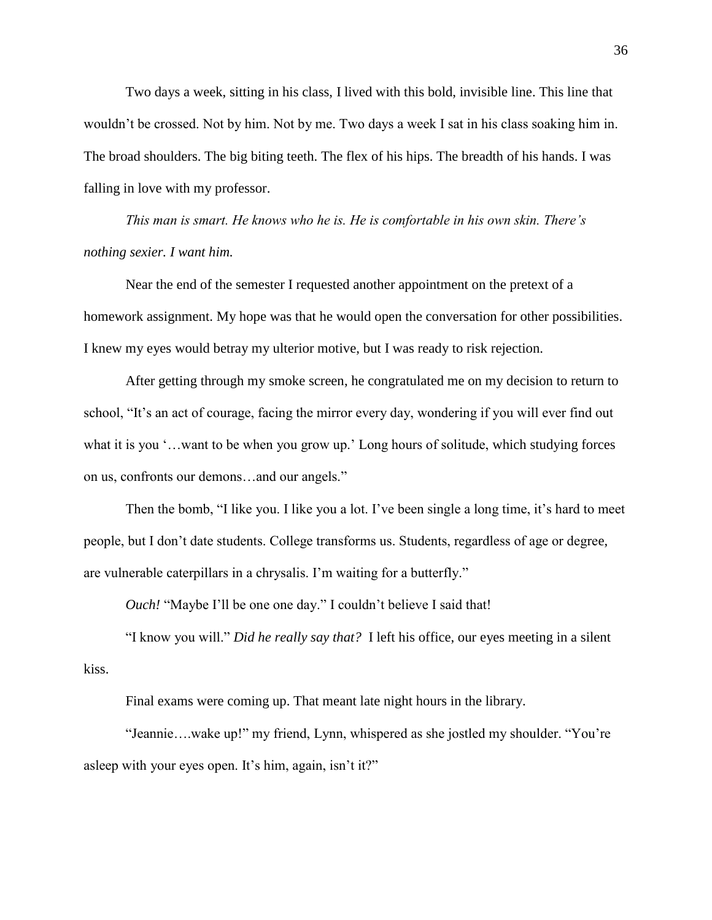Two days a week, sitting in his class, I lived with this bold, invisible line. This line that wouldn't be crossed. Not by him. Not by me. Two days a week I sat in his class soaking him in. The broad shoulders. The big biting teeth. The flex of his hips. The breadth of his hands. I was falling in love with my professor.

*This man is smart. He knows who he is. He is comfortable in his own skin. There's nothing sexier. I want him.*

Near the end of the semester I requested another appointment on the pretext of a homework assignment. My hope was that he would open the conversation for other possibilities. I knew my eyes would betray my ulterior motive, but I was ready to risk rejection.

After getting through my smoke screen, he congratulated me on my decision to return to school, "It's an act of courage, facing the mirror every day, wondering if you will ever find out what it is you '…want to be when you grow up.' Long hours of solitude, which studying forces on us, confronts our demons…and our angels."

Then the bomb, "I like you. I like you a lot. I've been single a long time, it's hard to meet people, but I don't date students. College transforms us. Students, regardless of age or degree, are vulnerable caterpillars in a chrysalis. I'm waiting for a butterfly."

*Ouch!* "Maybe I'll be one one day." I couldn't believe I said that!

"I know you will." *Did he really say that?* I left his office, our eyes meeting in a silent kiss.

Final exams were coming up. That meant late night hours in the library.

"Jeannie….wake up!" my friend, Lynn, whispered as she jostled my shoulder. "You're asleep with your eyes open. It's him, again, isn't it?"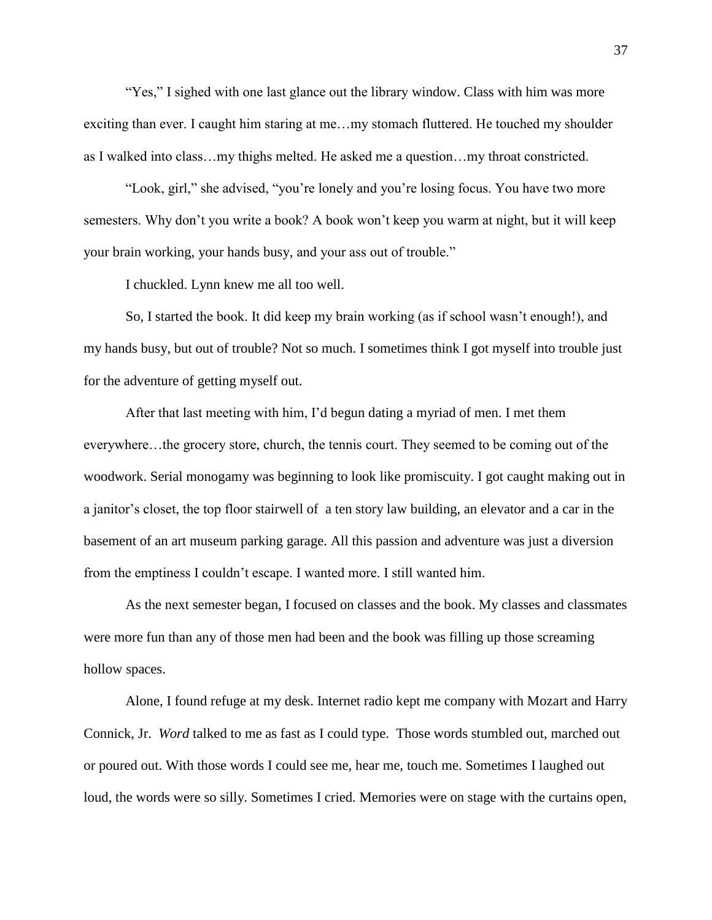"Yes," I sighed with one last glance out the library window. Class with him was more exciting than ever. I caught him staring at me…my stomach fluttered. He touched my shoulder as I walked into class…my thighs melted. He asked me a question…my throat constricted.

"Look, girl," she advised, "you're lonely and you're losing focus. You have two more semesters. Why don't you write a book? A book won't keep you warm at night, but it will keep your brain working, your hands busy, and your ass out of trouble."

I chuckled. Lynn knew me all too well.

So, I started the book. It did keep my brain working (as if school wasn't enough!), and my hands busy, but out of trouble? Not so much. I sometimes think I got myself into trouble just for the adventure of getting myself out.

After that last meeting with him, I'd begun dating a myriad of men. I met them everywhere…the grocery store, church, the tennis court. They seemed to be coming out of the woodwork. Serial monogamy was beginning to look like promiscuity. I got caught making out in a janitor's closet, the top floor stairwell of a ten story law building, an elevator and a car in the basement of an art museum parking garage. All this passion and adventure was just a diversion from the emptiness I couldn't escape. I wanted more. I still wanted him.

As the next semester began, I focused on classes and the book. My classes and classmates were more fun than any of those men had been and the book was filling up those screaming hollow spaces.

Alone, I found refuge at my desk. Internet radio kept me company with Mozart and Harry Connick, Jr. *Word* talked to me as fast as I could type. Those words stumbled out, marched out or poured out. With those words I could see me, hear me, touch me. Sometimes I laughed out loud, the words were so silly. Sometimes I cried. Memories were on stage with the curtains open,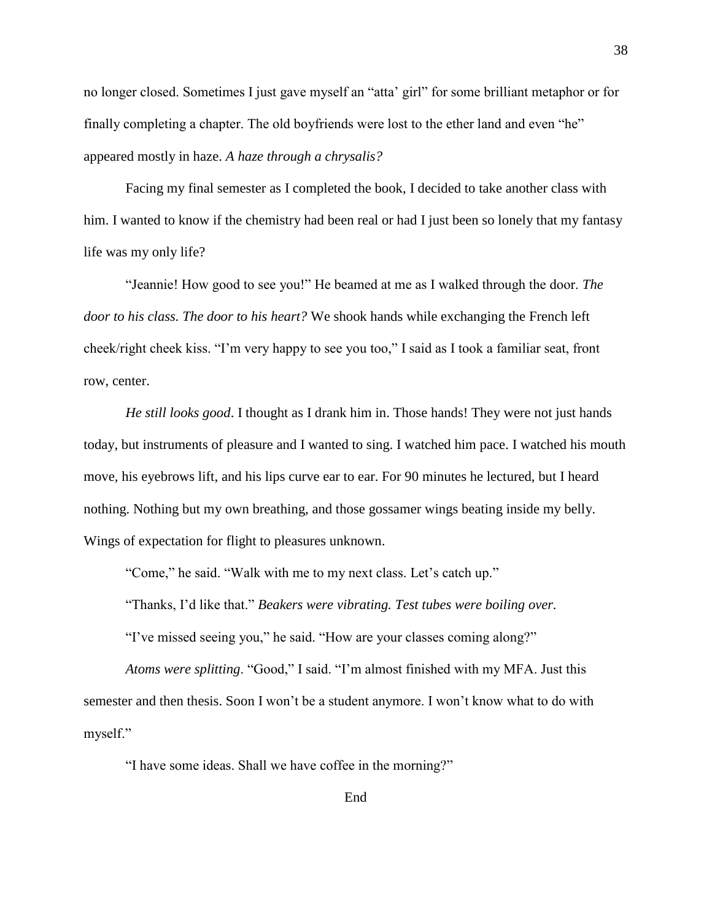no longer closed. Sometimes I just gave myself an "atta' girl" for some brilliant metaphor or for finally completing a chapter. The old boyfriends were lost to the ether land and even "he" appeared mostly in haze. *A haze through a chrysalis?*

Facing my final semester as I completed the book, I decided to take another class with him. I wanted to know if the chemistry had been real or had I just been so lonely that my fantasy life was my only life?

"Jeannie! How good to see you!" He beamed at me as I walked through the door. *The door to his class. The door to his heart?* We shook hands while exchanging the French left cheek/right cheek kiss. "I'm very happy to see you too," I said as I took a familiar seat, front row, center.

*He still looks good*. I thought as I drank him in. Those hands! They were not just hands today, but instruments of pleasure and I wanted to sing. I watched him pace. I watched his mouth move, his eyebrows lift, and his lips curve ear to ear. For 90 minutes he lectured, but I heard nothing. Nothing but my own breathing, and those gossamer wings beating inside my belly. Wings of expectation for flight to pleasures unknown.

"Come," he said. "Walk with me to my next class. Let's catch up."

"Thanks, I'd like that." *Beakers were vibrating. Test tubes were boiling over.*  "I've missed seeing you," he said. "How are your classes coming along?"

*Atoms were splitting*. "Good," I said. "I'm almost finished with my MFA. Just this semester and then thesis. Soon I won't be a student anymore. I won't know what to do with myself."

"I have some ideas. Shall we have coffee in the morning?"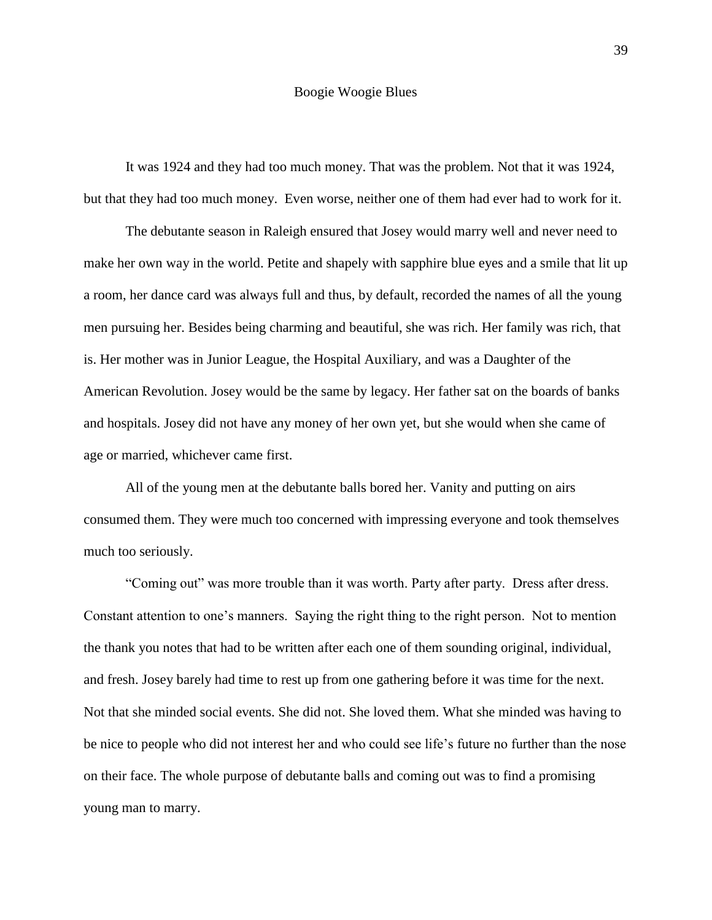#### Boogie Woogie Blues

It was 1924 and they had too much money. That was the problem. Not that it was 1924, but that they had too much money. Even worse, neither one of them had ever had to work for it.

The debutante season in Raleigh ensured that Josey would marry well and never need to make her own way in the world. Petite and shapely with sapphire blue eyes and a smile that lit up a room, her dance card was always full and thus, by default, recorded the names of all the young men pursuing her. Besides being charming and beautiful, she was rich. Her family was rich, that is. Her mother was in Junior League, the Hospital Auxiliary, and was a Daughter of the American Revolution. Josey would be the same by legacy. Her father sat on the boards of banks and hospitals. Josey did not have any money of her own yet, but she would when she came of age or married, whichever came first.

All of the young men at the debutante balls bored her. Vanity and putting on airs consumed them. They were much too concerned with impressing everyone and took themselves much too seriously.

"Coming out" was more trouble than it was worth. Party after party. Dress after dress. Constant attention to one's manners. Saying the right thing to the right person. Not to mention the thank you notes that had to be written after each one of them sounding original, individual, and fresh. Josey barely had time to rest up from one gathering before it was time for the next. Not that she minded social events. She did not. She loved them. What she minded was having to be nice to people who did not interest her and who could see life's future no further than the nose on their face. The whole purpose of debutante balls and coming out was to find a promising young man to marry.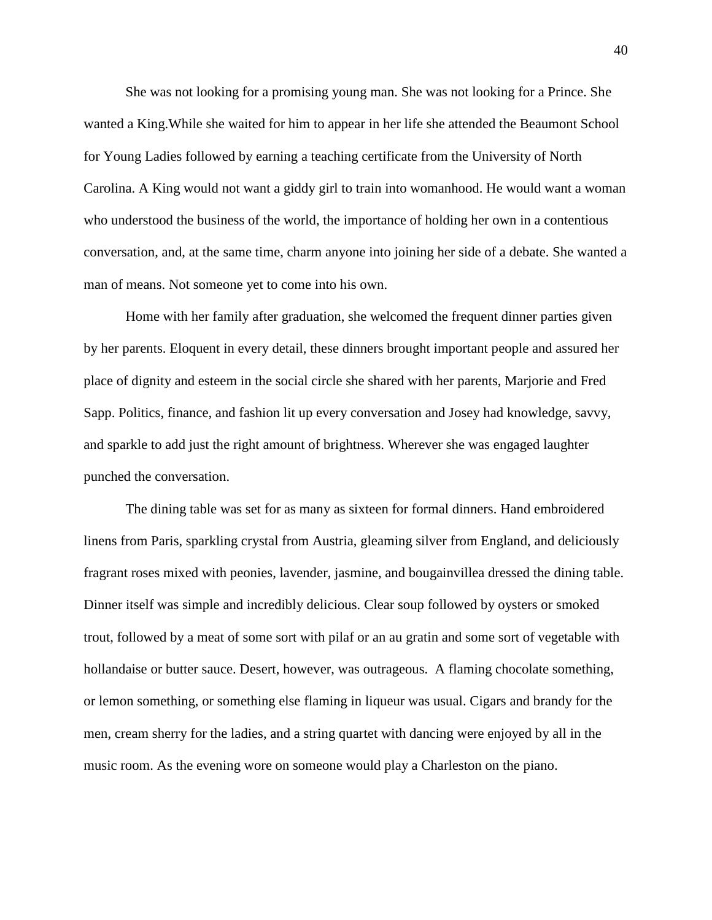She was not looking for a promising young man. She was not looking for a Prince. She wanted a King.While she waited for him to appear in her life she attended the Beaumont School for Young Ladies followed by earning a teaching certificate from the University of North Carolina. A King would not want a giddy girl to train into womanhood. He would want a woman who understood the business of the world, the importance of holding her own in a contentious conversation, and, at the same time, charm anyone into joining her side of a debate. She wanted a man of means. Not someone yet to come into his own.

Home with her family after graduation, she welcomed the frequent dinner parties given by her parents. Eloquent in every detail, these dinners brought important people and assured her place of dignity and esteem in the social circle she shared with her parents, Marjorie and Fred Sapp. Politics, finance, and fashion lit up every conversation and Josey had knowledge, savvy, and sparkle to add just the right amount of brightness. Wherever she was engaged laughter punched the conversation.

The dining table was set for as many as sixteen for formal dinners. Hand embroidered linens from Paris, sparkling crystal from Austria, gleaming silver from England, and deliciously fragrant roses mixed with peonies, lavender, jasmine, and bougainvillea dressed the dining table. Dinner itself was simple and incredibly delicious. Clear soup followed by oysters or smoked trout, followed by a meat of some sort with pilaf or an au gratin and some sort of vegetable with hollandaise or butter sauce. Desert, however, was outrageous. A flaming chocolate something, or lemon something, or something else flaming in liqueur was usual. Cigars and brandy for the men, cream sherry for the ladies, and a string quartet with dancing were enjoyed by all in the music room. As the evening wore on someone would play a Charleston on the piano.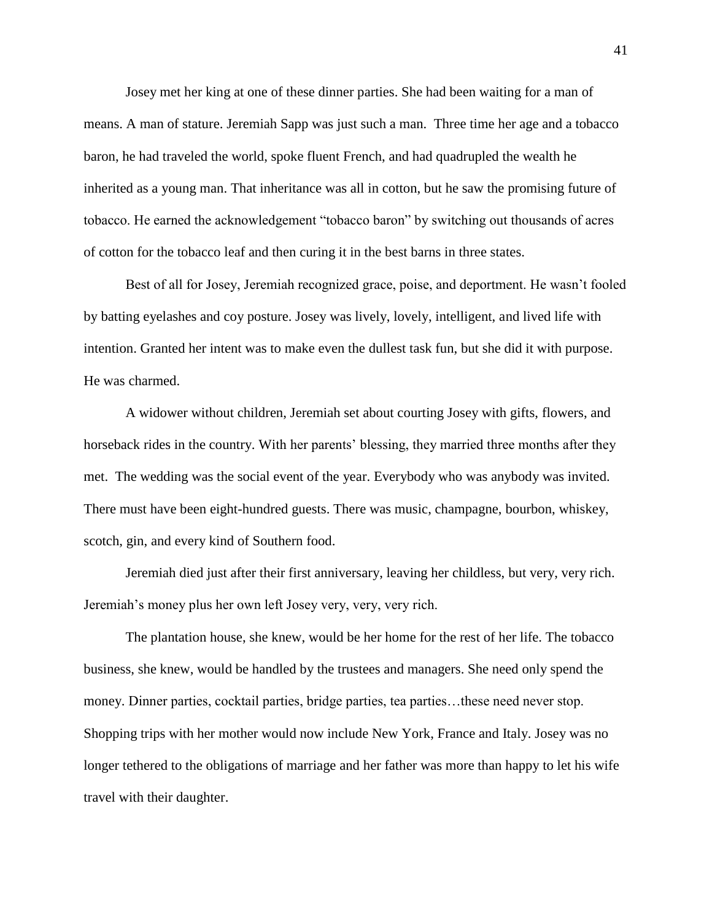Josey met her king at one of these dinner parties. She had been waiting for a man of means. A man of stature. Jeremiah Sapp was just such a man. Three time her age and a tobacco baron, he had traveled the world, spoke fluent French, and had quadrupled the wealth he inherited as a young man. That inheritance was all in cotton, but he saw the promising future of tobacco. He earned the acknowledgement "tobacco baron" by switching out thousands of acres of cotton for the tobacco leaf and then curing it in the best barns in three states.

Best of all for Josey, Jeremiah recognized grace, poise, and deportment. He wasn't fooled by batting eyelashes and coy posture. Josey was lively, lovely, intelligent, and lived life with intention. Granted her intent was to make even the dullest task fun, but she did it with purpose. He was charmed.

A widower without children, Jeremiah set about courting Josey with gifts, flowers, and horseback rides in the country. With her parents' blessing, they married three months after they met. The wedding was the social event of the year. Everybody who was anybody was invited. There must have been eight-hundred guests. There was music, champagne, bourbon, whiskey, scotch, gin, and every kind of Southern food.

Jeremiah died just after their first anniversary, leaving her childless, but very, very rich. Jeremiah's money plus her own left Josey very, very, very rich.

The plantation house, she knew, would be her home for the rest of her life. The tobacco business, she knew, would be handled by the trustees and managers. She need only spend the money. Dinner parties, cocktail parties, bridge parties, tea parties…these need never stop. Shopping trips with her mother would now include New York, France and Italy. Josey was no longer tethered to the obligations of marriage and her father was more than happy to let his wife travel with their daughter.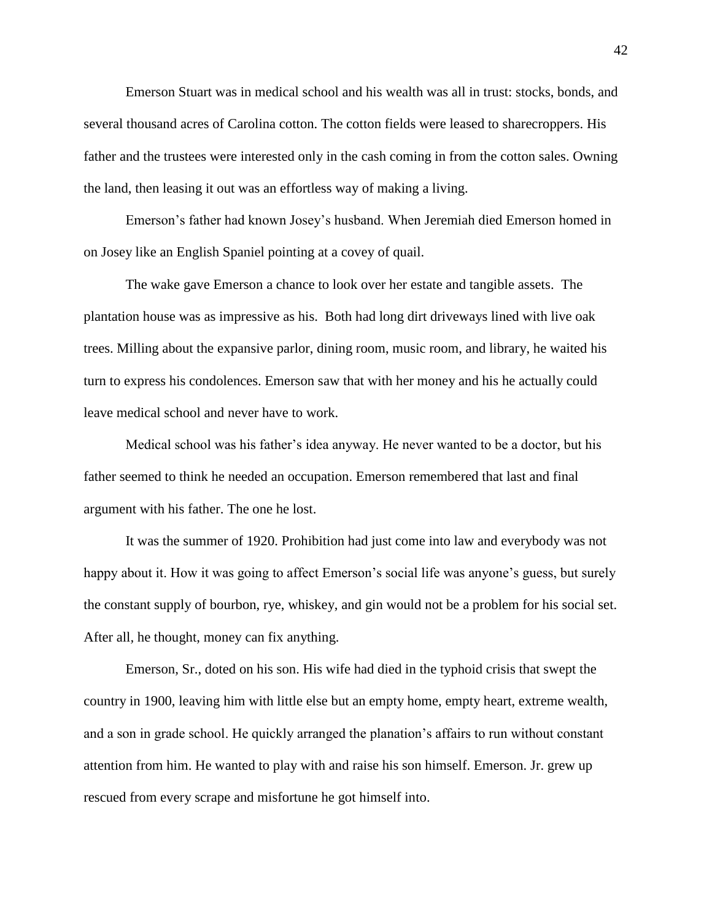Emerson Stuart was in medical school and his wealth was all in trust: stocks, bonds, and several thousand acres of Carolina cotton. The cotton fields were leased to sharecroppers. His father and the trustees were interested only in the cash coming in from the cotton sales. Owning the land, then leasing it out was an effortless way of making a living.

Emerson's father had known Josey's husband. When Jeremiah died Emerson homed in on Josey like an English Spaniel pointing at a covey of quail.

The wake gave Emerson a chance to look over her estate and tangible assets. The plantation house was as impressive as his. Both had long dirt driveways lined with live oak trees. Milling about the expansive parlor, dining room, music room, and library, he waited his turn to express his condolences. Emerson saw that with her money and his he actually could leave medical school and never have to work.

Medical school was his father's idea anyway. He never wanted to be a doctor, but his father seemed to think he needed an occupation. Emerson remembered that last and final argument with his father. The one he lost.

It was the summer of 1920. Prohibition had just come into law and everybody was not happy about it. How it was going to affect Emerson's social life was anyone's guess, but surely the constant supply of bourbon, rye, whiskey, and gin would not be a problem for his social set. After all*,* he thought, money can fix anything.

Emerson, Sr., doted on his son. His wife had died in the typhoid crisis that swept the country in 1900, leaving him with little else but an empty home, empty heart, extreme wealth, and a son in grade school. He quickly arranged the planation's affairs to run without constant attention from him. He wanted to play with and raise his son himself. Emerson. Jr. grew up rescued from every scrape and misfortune he got himself into.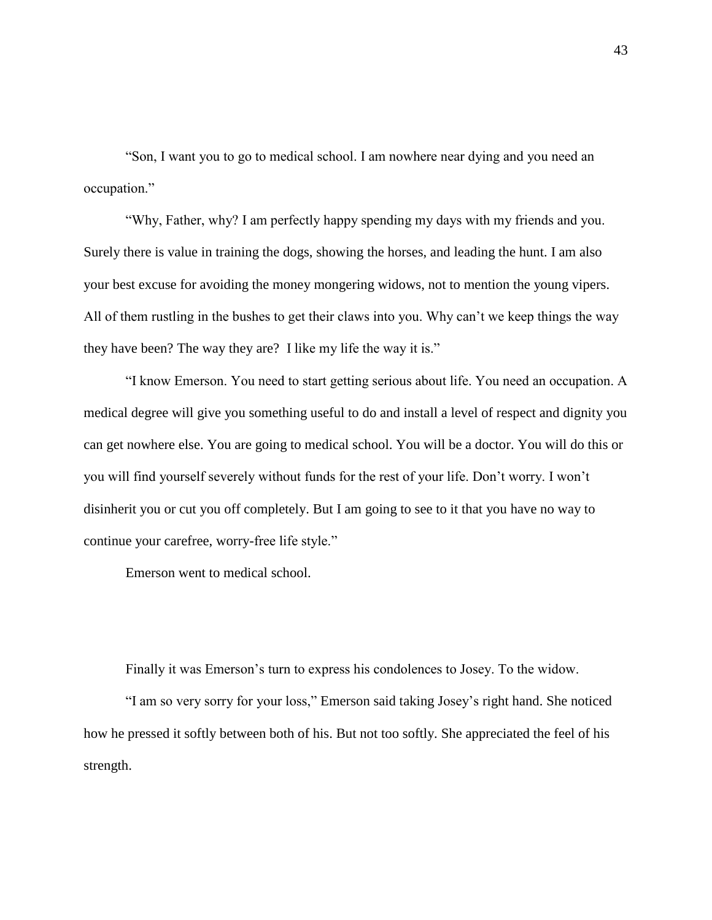"Son, I want you to go to medical school. I am nowhere near dying and you need an occupation."

"Why, Father, why? I am perfectly happy spending my days with my friends and you. Surely there is value in training the dogs, showing the horses, and leading the hunt. I am also your best excuse for avoiding the money mongering widows, not to mention the young vipers. All of them rustling in the bushes to get their claws into you. Why can't we keep things the way they have been? The way they are? I like my life the way it is."

"I know Emerson. You need to start getting serious about life. You need an occupation. A medical degree will give you something useful to do and install a level of respect and dignity you can get nowhere else. You are going to medical school. You will be a doctor. You will do this or you will find yourself severely without funds for the rest of your life. Don't worry. I won't disinherit you or cut you off completely. But I am going to see to it that you have no way to continue your carefree, worry-free life style."

Emerson went to medical school.

Finally it was Emerson's turn to express his condolences to Josey. To the widow.

"I am so very sorry for your loss," Emerson said taking Josey's right hand. She noticed how he pressed it softly between both of his. But not too softly. She appreciated the feel of his strength.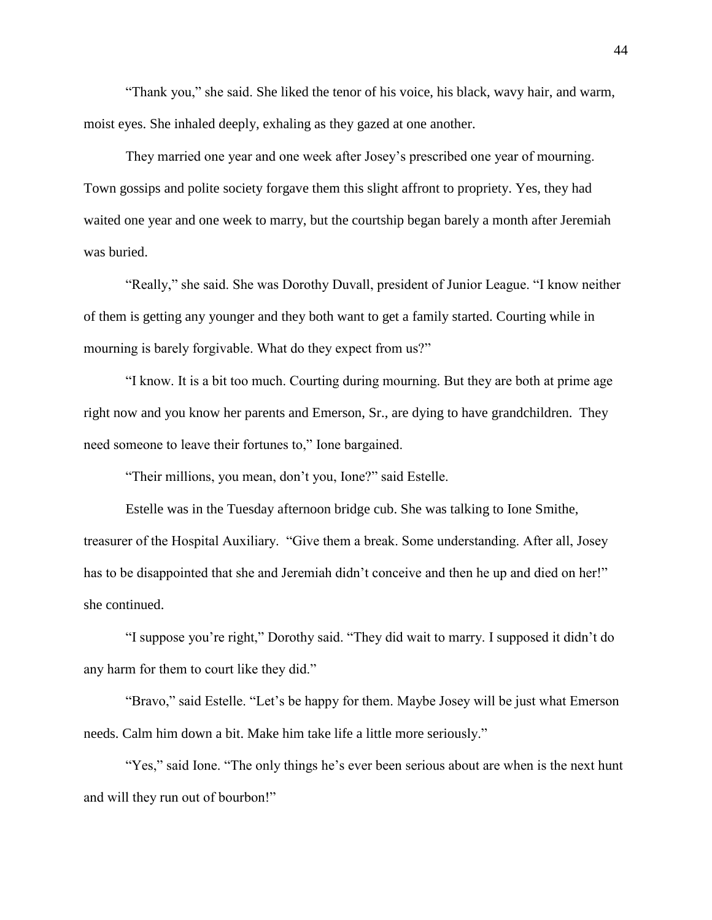"Thank you," she said. She liked the tenor of his voice, his black, wavy hair, and warm, moist eyes. She inhaled deeply, exhaling as they gazed at one another.

They married one year and one week after Josey's prescribed one year of mourning. Town gossips and polite society forgave them this slight affront to propriety. Yes, they had waited one year and one week to marry, but the courtship began barely a month after Jeremiah was buried.

"Really," she said. She was Dorothy Duvall, president of Junior League. "I know neither of them is getting any younger and they both want to get a family started. Courting while in mourning is barely forgivable. What do they expect from us?"

"I know. It is a bit too much. Courting during mourning. But they are both at prime age right now and you know her parents and Emerson, Sr., are dying to have grandchildren. They need someone to leave their fortunes to," Ione bargained.

"Their millions, you mean, don't you, Ione?" said Estelle.

Estelle was in the Tuesday afternoon bridge cub. She was talking to Ione Smithe, treasurer of the Hospital Auxiliary. "Give them a break. Some understanding. After all, Josey has to be disappointed that she and Jeremiah didn't conceive and then he up and died on her!" she continued.

"I suppose you're right," Dorothy said. "They did wait to marry. I supposed it didn't do any harm for them to court like they did."

"Bravo," said Estelle. "Let's be happy for them. Maybe Josey will be just what Emerson needs. Calm him down a bit. Make him take life a little more seriously."

"Yes," said Ione. "The only things he's ever been serious about are when is the next hunt and will they run out of bourbon!"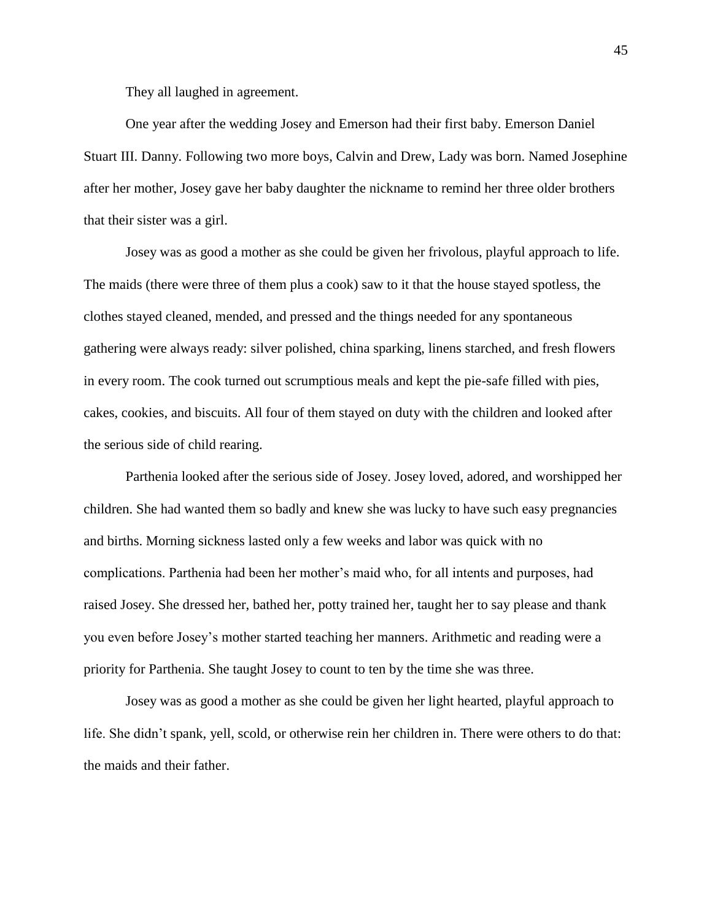They all laughed in agreement.

One year after the wedding Josey and Emerson had their first baby. Emerson Daniel Stuart III. Danny. Following two more boys, Calvin and Drew, Lady was born. Named Josephine after her mother, Josey gave her baby daughter the nickname to remind her three older brothers that their sister was a girl.

Josey was as good a mother as she could be given her frivolous, playful approach to life. The maids (there were three of them plus a cook) saw to it that the house stayed spotless, the clothes stayed cleaned, mended, and pressed and the things needed for any spontaneous gathering were always ready: silver polished, china sparking, linens starched, and fresh flowers in every room. The cook turned out scrumptious meals and kept the pie-safe filled with pies, cakes, cookies, and biscuits. All four of them stayed on duty with the children and looked after the serious side of child rearing.

Parthenia looked after the serious side of Josey. Josey loved, adored, and worshipped her children. She had wanted them so badly and knew she was lucky to have such easy pregnancies and births. Morning sickness lasted only a few weeks and labor was quick with no complications. Parthenia had been her mother's maid who, for all intents and purposes, had raised Josey. She dressed her, bathed her, potty trained her, taught her to say please and thank you even before Josey's mother started teaching her manners. Arithmetic and reading were a priority for Parthenia. She taught Josey to count to ten by the time she was three.

Josey was as good a mother as she could be given her light hearted, playful approach to life. She didn't spank, yell, scold, or otherwise rein her children in. There were others to do that: the maids and their father.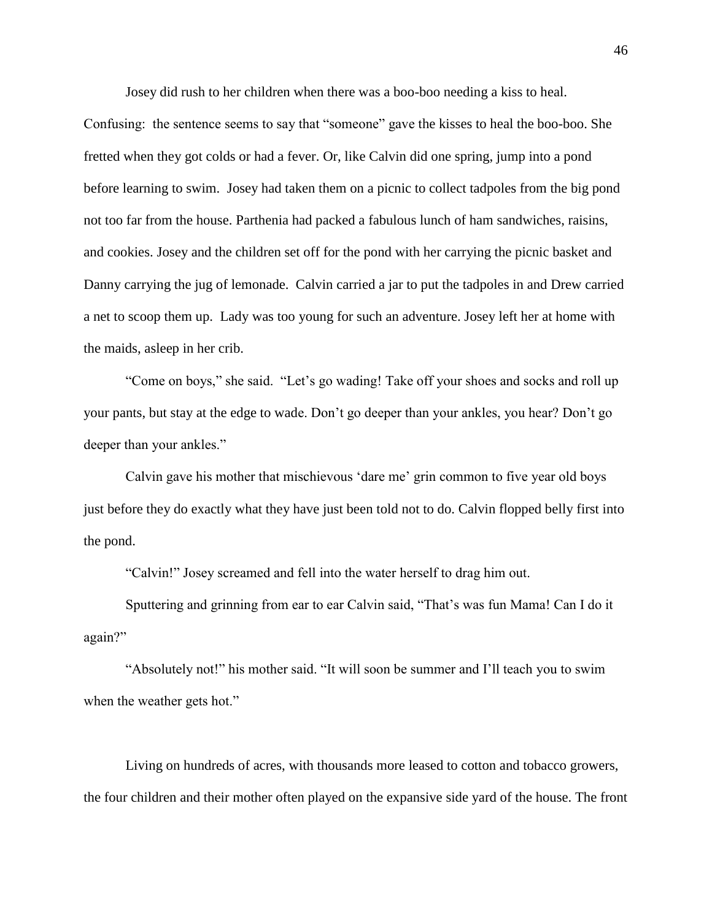Josey did rush to her children when there was a boo-boo needing a kiss to heal.

Confusing: the sentence seems to say that "someone" gave the kisses to heal the boo-boo. She fretted when they got colds or had a fever. Or, like Calvin did one spring, jump into a pond before learning to swim. Josey had taken them on a picnic to collect tadpoles from the big pond not too far from the house. Parthenia had packed a fabulous lunch of ham sandwiches, raisins, and cookies. Josey and the children set off for the pond with her carrying the picnic basket and Danny carrying the jug of lemonade. Calvin carried a jar to put the tadpoles in and Drew carried a net to scoop them up. Lady was too young for such an adventure. Josey left her at home with the maids, asleep in her crib.

"Come on boys," she said. "Let's go wading! Take off your shoes and socks and roll up your pants, but stay at the edge to wade. Don't go deeper than your ankles, you hear? Don't go deeper than your ankles."

Calvin gave his mother that mischievous 'dare me' grin common to five year old boys just before they do exactly what they have just been told not to do. Calvin flopped belly first into the pond.

"Calvin!" Josey screamed and fell into the water herself to drag him out.

Sputtering and grinning from ear to ear Calvin said, "That's was fun Mama! Can I do it again?"

"Absolutely not!" his mother said. "It will soon be summer and I'll teach you to swim when the weather gets hot."

Living on hundreds of acres, with thousands more leased to cotton and tobacco growers, the four children and their mother often played on the expansive side yard of the house. The front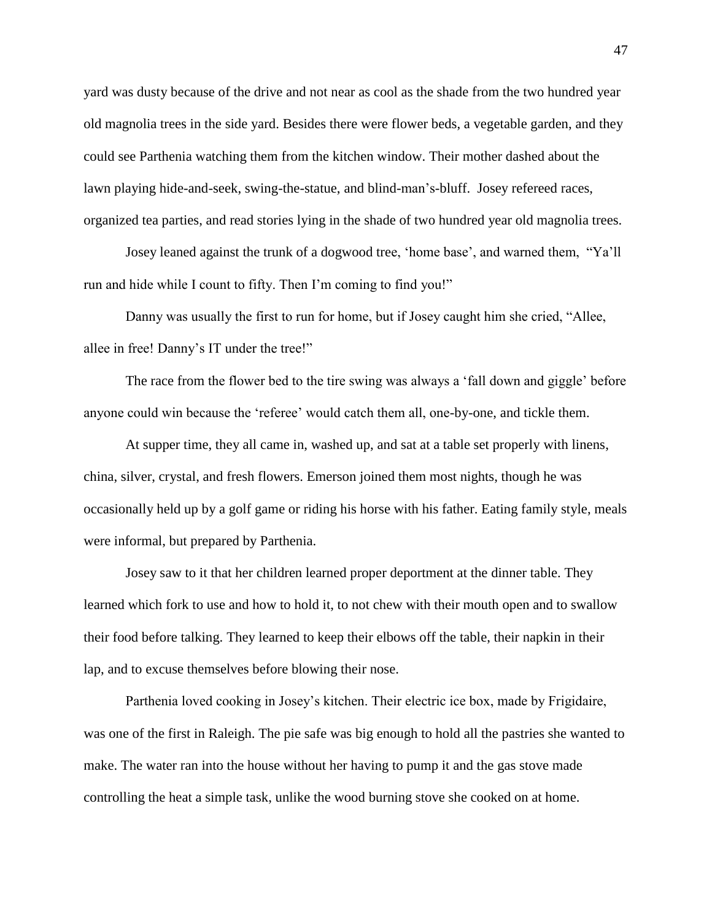yard was dusty because of the drive and not near as cool as the shade from the two hundred year old magnolia trees in the side yard. Besides there were flower beds, a vegetable garden, and they could see Parthenia watching them from the kitchen window. Their mother dashed about the lawn playing hide-and-seek, swing-the-statue, and blind-man's-bluff. Josey refereed races, organized tea parties, and read stories lying in the shade of two hundred year old magnolia trees.

Josey leaned against the trunk of a dogwood tree, 'home base', and warned them, "Ya'll run and hide while I count to fifty. Then I'm coming to find you!"

Danny was usually the first to run for home, but if Josey caught him she cried, "Allee, allee in free! Danny's IT under the tree!"

The race from the flower bed to the tire swing was always a 'fall down and giggle' before anyone could win because the 'referee' would catch them all, one-by-one, and tickle them.

At supper time, they all came in, washed up, and sat at a table set properly with linens, china, silver, crystal, and fresh flowers. Emerson joined them most nights, though he was occasionally held up by a golf game or riding his horse with his father. Eating family style, meals were informal, but prepared by Parthenia.

Josey saw to it that her children learned proper deportment at the dinner table. They learned which fork to use and how to hold it, to not chew with their mouth open and to swallow their food before talking. They learned to keep their elbows off the table, their napkin in their lap, and to excuse themselves before blowing their nose.

Parthenia loved cooking in Josey's kitchen. Their electric ice box, made by Frigidaire, was one of the first in Raleigh. The pie safe was big enough to hold all the pastries she wanted to make. The water ran into the house without her having to pump it and the gas stove made controlling the heat a simple task, unlike the wood burning stove she cooked on at home.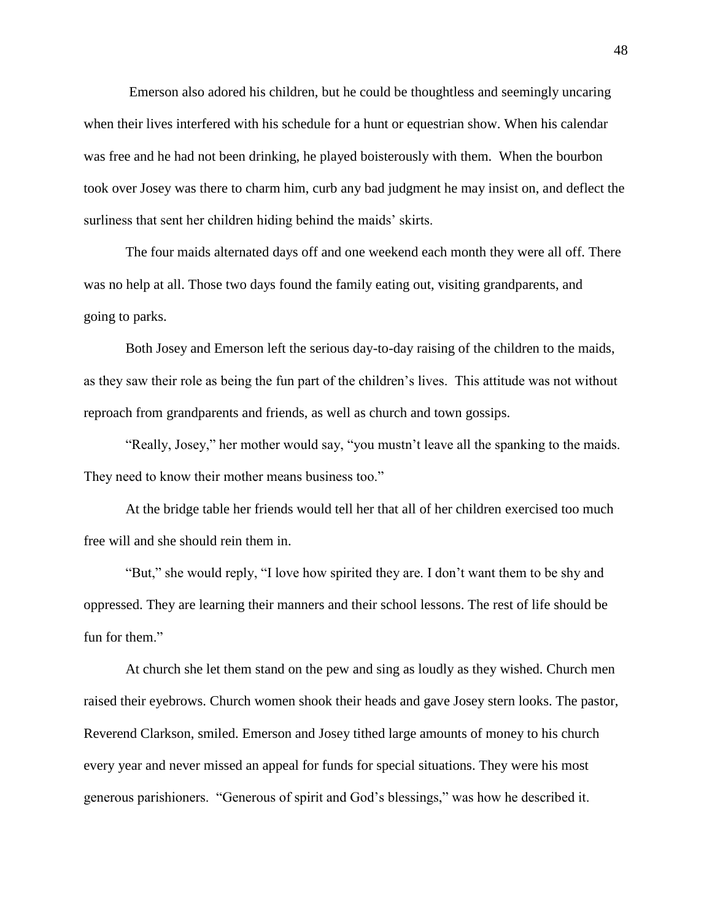Emerson also adored his children, but he could be thoughtless and seemingly uncaring when their lives interfered with his schedule for a hunt or equestrian show. When his calendar was free and he had not been drinking, he played boisterously with them. When the bourbon took over Josey was there to charm him, curb any bad judgment he may insist on, and deflect the surliness that sent her children hiding behind the maids' skirts.

The four maids alternated days off and one weekend each month they were all off. There was no help at all. Those two days found the family eating out, visiting grandparents, and going to parks.

Both Josey and Emerson left the serious day-to-day raising of the children to the maids, as they saw their role as being the fun part of the children's lives. This attitude was not without reproach from grandparents and friends, as well as church and town gossips.

"Really, Josey," her mother would say, "you mustn't leave all the spanking to the maids. They need to know their mother means business too."

At the bridge table her friends would tell her that all of her children exercised too much free will and she should rein them in.

"But," she would reply, "I love how spirited they are. I don't want them to be shy and oppressed. They are learning their manners and their school lessons. The rest of life should be fun for them."

At church she let them stand on the pew and sing as loudly as they wished. Church men raised their eyebrows. Church women shook their heads and gave Josey stern looks. The pastor, Reverend Clarkson, smiled. Emerson and Josey tithed large amounts of money to his church every year and never missed an appeal for funds for special situations. They were his most generous parishioners. "Generous of spirit and God's blessings," was how he described it.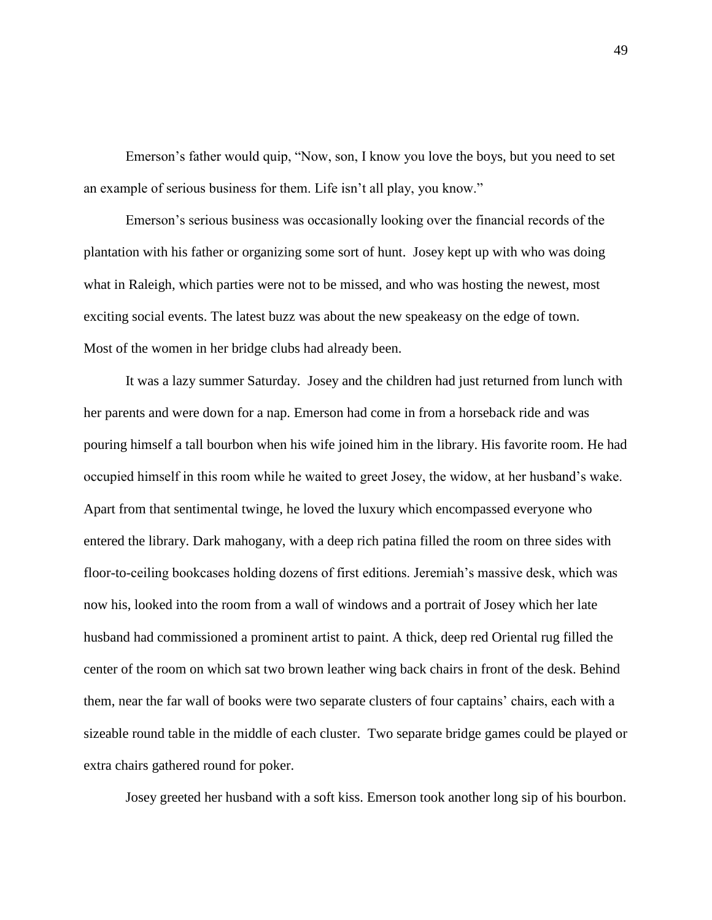Emerson's father would quip, "Now, son, I know you love the boys, but you need to set an example of serious business for them. Life isn't all play, you know."

Emerson's serious business was occasionally looking over the financial records of the plantation with his father or organizing some sort of hunt. Josey kept up with who was doing what in Raleigh, which parties were not to be missed, and who was hosting the newest, most exciting social events. The latest buzz was about the new speakeasy on the edge of town. Most of the women in her bridge clubs had already been.

It was a lazy summer Saturday. Josey and the children had just returned from lunch with her parents and were down for a nap. Emerson had come in from a horseback ride and was pouring himself a tall bourbon when his wife joined him in the library. His favorite room. He had occupied himself in this room while he waited to greet Josey, the widow, at her husband's wake. Apart from that sentimental twinge, he loved the luxury which encompassed everyone who entered the library. Dark mahogany, with a deep rich patina filled the room on three sides with floor-to-ceiling bookcases holding dozens of first editions. Jeremiah's massive desk, which was now his, looked into the room from a wall of windows and a portrait of Josey which her late husband had commissioned a prominent artist to paint. A thick, deep red Oriental rug filled the center of the room on which sat two brown leather wing back chairs in front of the desk. Behind them, near the far wall of books were two separate clusters of four captains' chairs, each with a sizeable round table in the middle of each cluster. Two separate bridge games could be played or extra chairs gathered round for poker.

Josey greeted her husband with a soft kiss. Emerson took another long sip of his bourbon.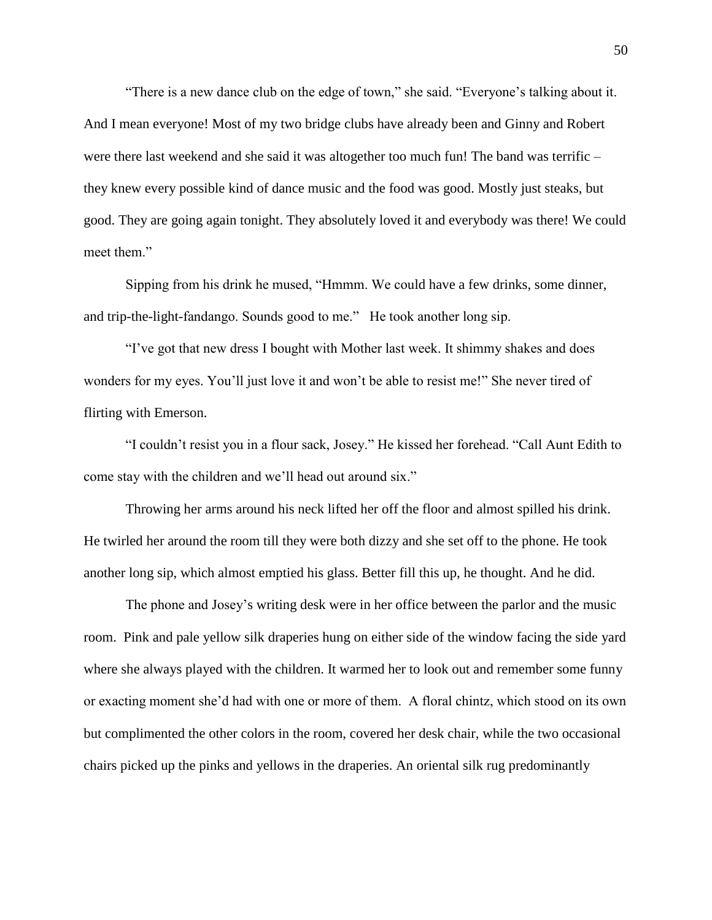"There is a new dance club on the edge of town," she said. "Everyone's talking about it. And I mean everyone! Most of my two bridge clubs have already been and Ginny and Robert were there last weekend and she said it was altogether too much fun! The band was terrific – they knew every possible kind of dance music and the food was good. Mostly just steaks, but good. They are going again tonight. They absolutely loved it and everybody was there! We could meet them."

Sipping from his drink he mused, "Hmmm. We could have a few drinks, some dinner, and trip-the-light-fandango. Sounds good to me." He took another long sip.

"I've got that new dress I bought with Mother last week. It shimmy shakes and does wonders for my eyes. You'll just love it and won't be able to resist me!" She never tired of flirting with Emerson.

"I couldn't resist you in a flour sack, Josey." He kissed her forehead. "Call Aunt Edith to come stay with the children and we'll head out around six."

Throwing her arms around his neck lifted her off the floor and almost spilled his drink. He twirled her around the room till they were both dizzy and she set off to the phone. He took another long sip, which almost emptied his glass. Better fill this up, he thought. And he did.

The phone and Josey's writing desk were in her office between the parlor and the music room. Pink and pale yellow silk draperies hung on either side of the window facing the side yard where she always played with the children. It warmed her to look out and remember some funny or exacting moment she'd had with one or more of them. A floral chintz, which stood on its own but complimented the other colors in the room, covered her desk chair, while the two occasional chairs picked up the pinks and yellows in the draperies. An oriental silk rug predominantly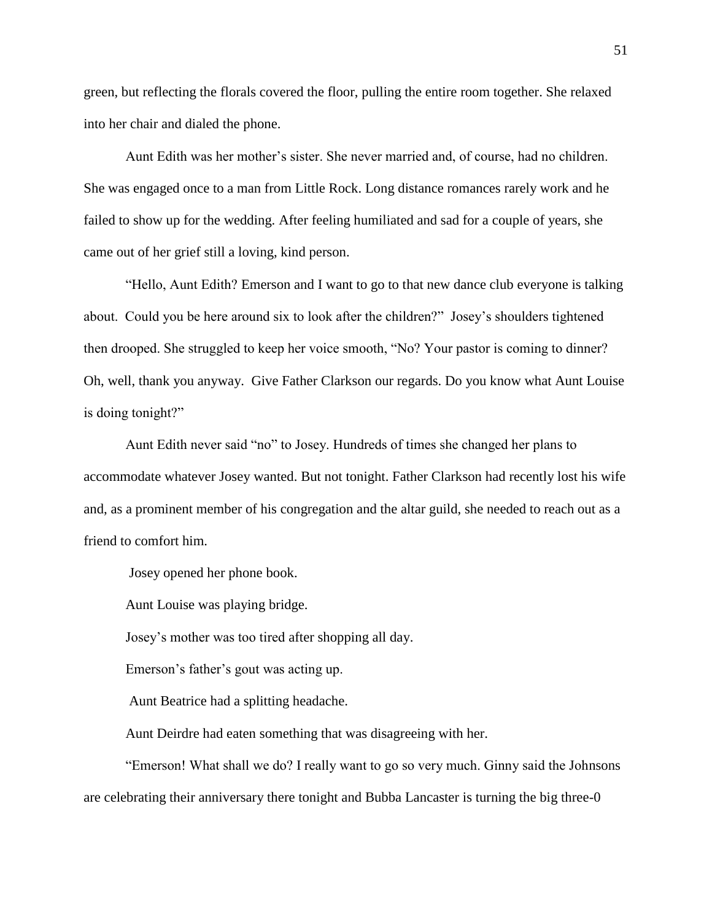green, but reflecting the florals covered the floor, pulling the entire room together. She relaxed into her chair and dialed the phone.

Aunt Edith was her mother's sister. She never married and, of course, had no children. She was engaged once to a man from Little Rock. Long distance romances rarely work and he failed to show up for the wedding. After feeling humiliated and sad for a couple of years, she came out of her grief still a loving, kind person.

"Hello, Aunt Edith? Emerson and I want to go to that new dance club everyone is talking about. Could you be here around six to look after the children?" Josey's shoulders tightened then drooped. She struggled to keep her voice smooth, "No? Your pastor is coming to dinner? Oh, well, thank you anyway. Give Father Clarkson our regards. Do you know what Aunt Louise is doing tonight?"

Aunt Edith never said "no" to Josey. Hundreds of times she changed her plans to accommodate whatever Josey wanted. But not tonight. Father Clarkson had recently lost his wife and, as a prominent member of his congregation and the altar guild, she needed to reach out as a friend to comfort him.

Josey opened her phone book.

Aunt Louise was playing bridge.

Josey's mother was too tired after shopping all day.

Emerson's father's gout was acting up.

Aunt Beatrice had a splitting headache.

Aunt Deirdre had eaten something that was disagreeing with her.

"Emerson! What shall we do? I really want to go so very much. Ginny said the Johnsons are celebrating their anniversary there tonight and Bubba Lancaster is turning the big three-0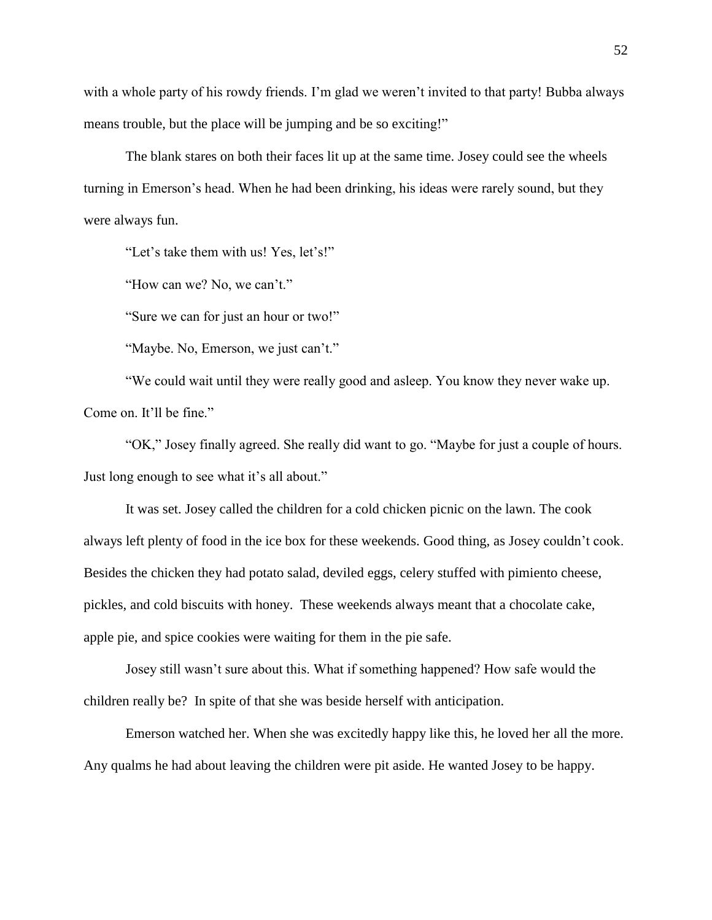with a whole party of his rowdy friends. I'm glad we weren't invited to that party! Bubba always means trouble, but the place will be jumping and be so exciting!"

The blank stares on both their faces lit up at the same time. Josey could see the wheels turning in Emerson's head. When he had been drinking, his ideas were rarely sound, but they were always fun.

"Let's take them with us! Yes, let's!"

"How can we? No, we can't."

"Sure we can for just an hour or two!"

"Maybe. No, Emerson, we just can't."

"We could wait until they were really good and asleep. You know they never wake up. Come on. It'll be fine."

"OK," Josey finally agreed. She really did want to go. "Maybe for just a couple of hours. Just long enough to see what it's all about."

It was set. Josey called the children for a cold chicken picnic on the lawn. The cook always left plenty of food in the ice box for these weekends. Good thing, as Josey couldn't cook. Besides the chicken they had potato salad, deviled eggs, celery stuffed with pimiento cheese, pickles, and cold biscuits with honey. These weekends always meant that a chocolate cake, apple pie, and spice cookies were waiting for them in the pie safe.

Josey still wasn't sure about this. What if something happened? How safe would the children really be? In spite of that she was beside herself with anticipation.

Emerson watched her. When she was excitedly happy like this, he loved her all the more. Any qualms he had about leaving the children were pit aside. He wanted Josey to be happy.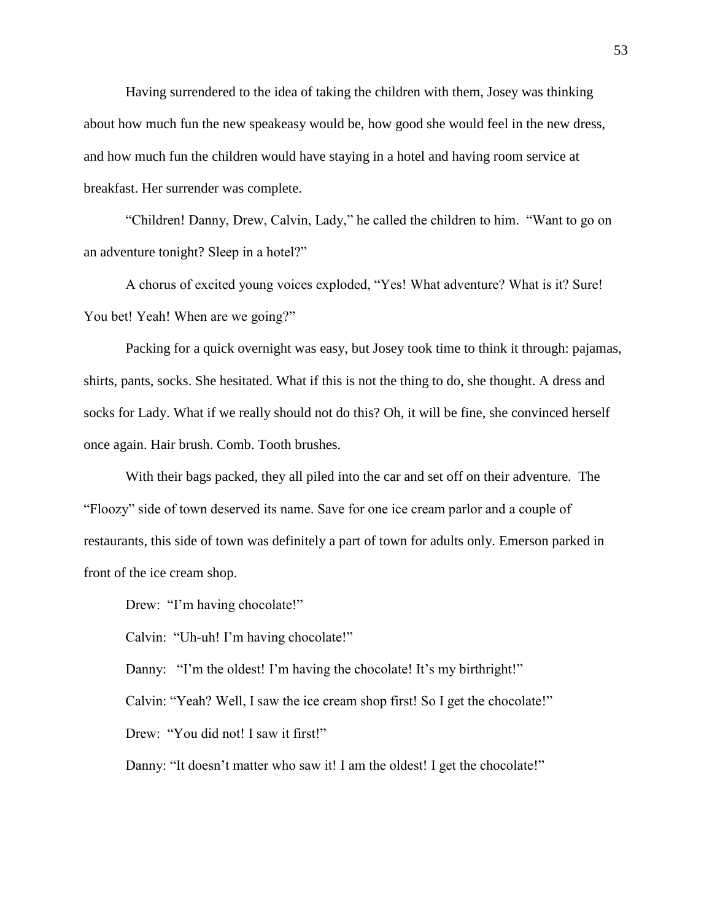Having surrendered to the idea of taking the children with them, Josey was thinking about how much fun the new speakeasy would be, how good she would feel in the new dress, and how much fun the children would have staying in a hotel and having room service at breakfast. Her surrender was complete.

"Children! Danny, Drew, Calvin, Lady," he called the children to him. "Want to go on an adventure tonight? Sleep in a hotel?"

A chorus of excited young voices exploded, "Yes! What adventure? What is it? Sure! You bet! Yeah! When are we going?"

Packing for a quick overnight was easy, but Josey took time to think it through: pajamas, shirts, pants, socks. She hesitated. What if this is not the thing to do, she thought. A dress and socks for Lady. What if we really should not do this? Oh, it will be fine, she convinced herself once again. Hair brush. Comb. Tooth brushes.

With their bags packed, they all piled into the car and set off on their adventure. The "Floozy" side of town deserved its name. Save for one ice cream parlor and a couple of restaurants, this side of town was definitely a part of town for adults only. Emerson parked in front of the ice cream shop.

Drew: "I'm having chocolate!"

Calvin: "Uh-uh! I'm having chocolate!"

Danny: "I'm the oldest! I'm having the chocolate! It's my birthright!"

Calvin: "Yeah? Well, I saw the ice cream shop first! So I get the chocolate!"

Drew: "You did not! I saw it first!"

Danny: "It doesn't matter who saw it! I am the oldest! I get the chocolate!"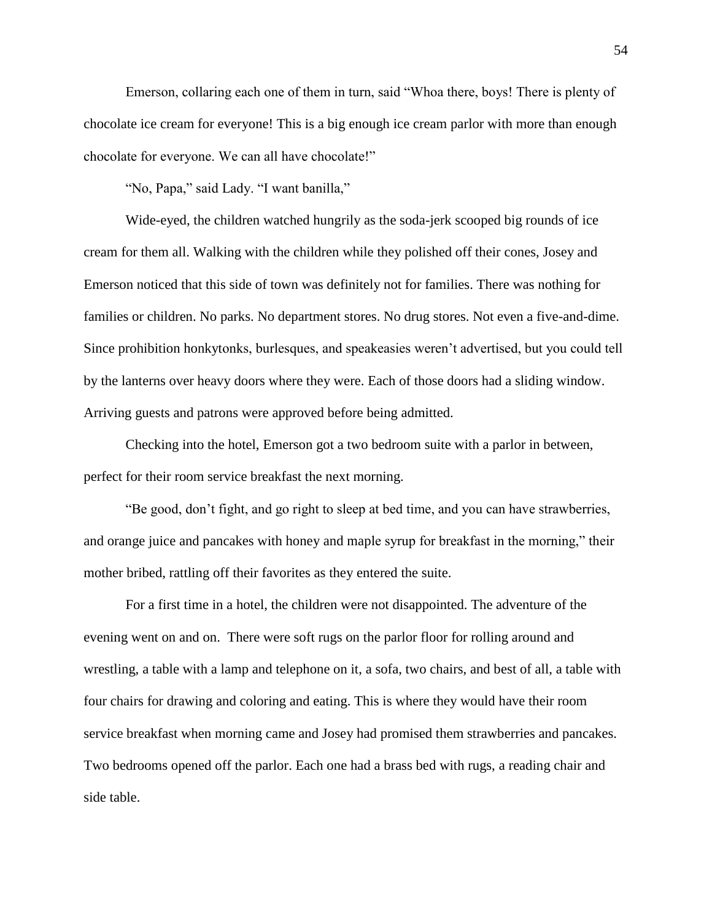Emerson, collaring each one of them in turn, said "Whoa there, boys! There is plenty of chocolate ice cream for everyone! This is a big enough ice cream parlor with more than enough chocolate for everyone. We can all have chocolate!"

"No, Papa," said Lady. "I want banilla,"

Wide-eyed, the children watched hungrily as the soda-jerk scooped big rounds of ice cream for them all. Walking with the children while they polished off their cones, Josey and Emerson noticed that this side of town was definitely not for families. There was nothing for families or children. No parks. No department stores. No drug stores. Not even a five-and-dime. Since prohibition honkytonks, burlesques, and speakeasies weren't advertised, but you could tell by the lanterns over heavy doors where they were. Each of those doors had a sliding window. Arriving guests and patrons were approved before being admitted.

Checking into the hotel, Emerson got a two bedroom suite with a parlor in between, perfect for their room service breakfast the next morning.

"Be good, don't fight, and go right to sleep at bed time, and you can have strawberries, and orange juice and pancakes with honey and maple syrup for breakfast in the morning," their mother bribed, rattling off their favorites as they entered the suite.

For a first time in a hotel, the children were not disappointed. The adventure of the evening went on and on. There were soft rugs on the parlor floor for rolling around and wrestling, a table with a lamp and telephone on it, a sofa, two chairs, and best of all, a table with four chairs for drawing and coloring and eating. This is where they would have their room service breakfast when morning came and Josey had promised them strawberries and pancakes. Two bedrooms opened off the parlor. Each one had a brass bed with rugs, a reading chair and side table.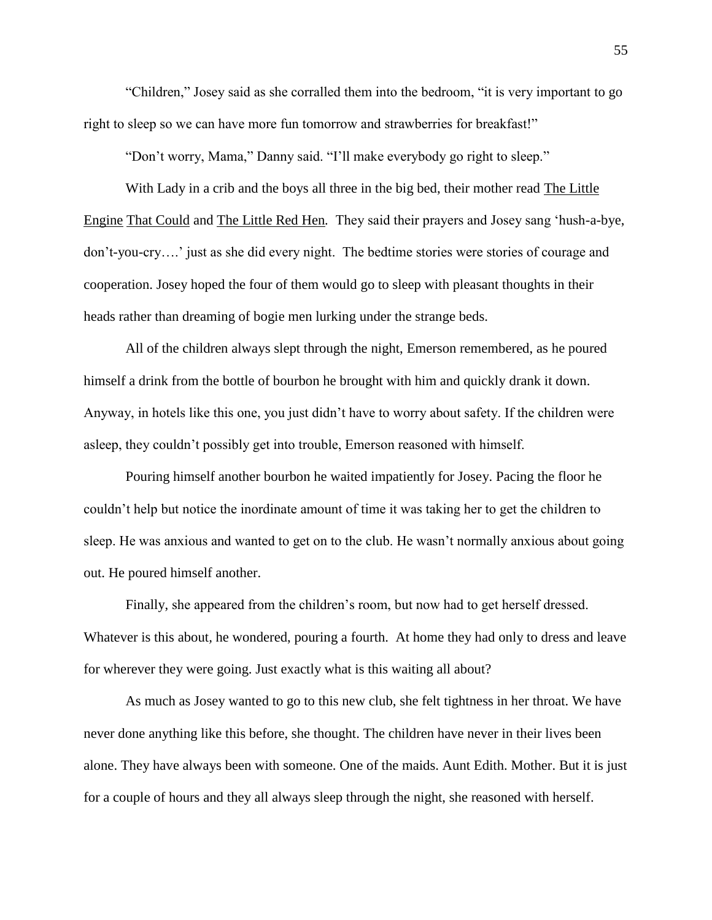"Children," Josey said as she corralled them into the bedroom, "it is very important to go right to sleep so we can have more fun tomorrow and strawberries for breakfast!"

"Don't worry, Mama," Danny said. "I'll make everybody go right to sleep."

With Lady in a crib and the boys all three in the big bed, their mother read The Little Engine That Could and The Little Red Hen*.* They said their prayers and Josey sang 'hush-a-bye, don't-you-cry….' just as she did every night. The bedtime stories were stories of courage and cooperation. Josey hoped the four of them would go to sleep with pleasant thoughts in their heads rather than dreaming of bogie men lurking under the strange beds.

All of the children always slept through the night, Emerson remembered, as he poured himself a drink from the bottle of bourbon he brought with him and quickly drank it down. Anyway, in hotels like this one, you just didn't have to worry about safety. If the children were asleep, they couldn't possibly get into trouble, Emerson reasoned with himself.

Pouring himself another bourbon he waited impatiently for Josey. Pacing the floor he couldn't help but notice the inordinate amount of time it was taking her to get the children to sleep. He was anxious and wanted to get on to the club. He wasn't normally anxious about going out. He poured himself another.

Finally, she appeared from the children's room, but now had to get herself dressed. Whatever is this about*,* he wondered, pouring a fourth. At home they had only to dress and leave for wherever they were going. Just exactly what is this waiting all about?

As much as Josey wanted to go to this new club, she felt tightness in her throat. We have never done anything like this before, she thought. The children have never in their lives been alone. They have always been with someone. One of the maids. Aunt Edith. Mother. But it is just for a couple of hours and they all always sleep through the night, she reasoned with herself.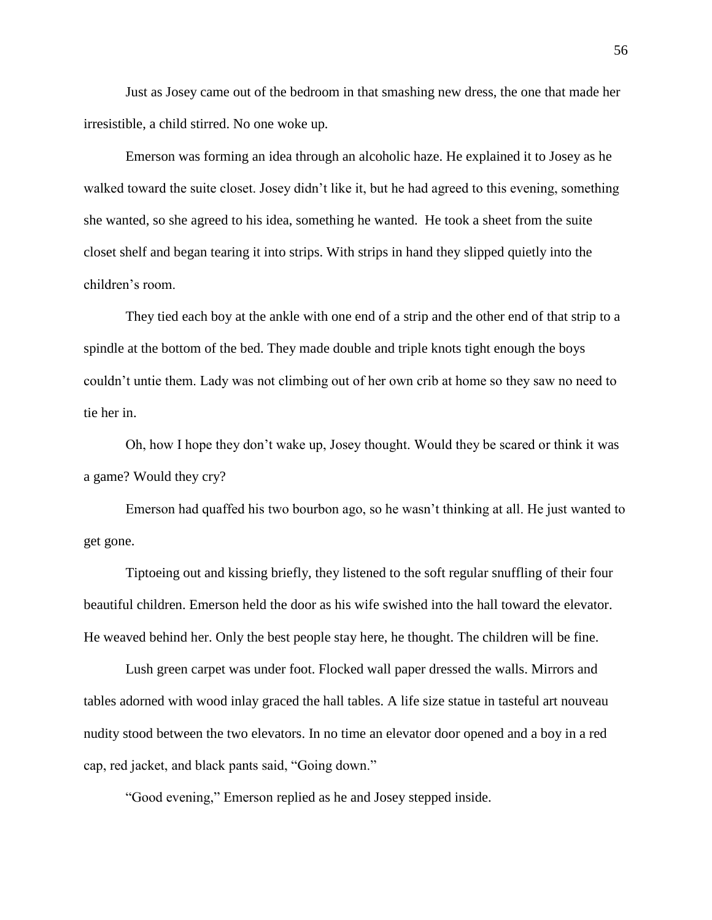Just as Josey came out of the bedroom in that smashing new dress, the one that made her irresistible, a child stirred. No one woke up*.* 

Emerson was forming an idea through an alcoholic haze. He explained it to Josey as he walked toward the suite closet. Josey didn't like it, but he had agreed to this evening, something she wanted, so she agreed to his idea, something he wanted. He took a sheet from the suite closet shelf and began tearing it into strips. With strips in hand they slipped quietly into the children's room.

They tied each boy at the ankle with one end of a strip and the other end of that strip to a spindle at the bottom of the bed. They made double and triple knots tight enough the boys couldn't untie them. Lady was not climbing out of her own crib at home so they saw no need to tie her in.

Oh, how I hope they don't wake up, Josey thought. Would they be scared or think it was a game? Would they cry?

Emerson had quaffed his two bourbon ago, so he wasn't thinking at all. He just wanted to get gone.

Tiptoeing out and kissing briefly, they listened to the soft regular snuffling of their four beautiful children. Emerson held the door as his wife swished into the hall toward the elevator. He weaved behind her. Only the best people stay here, he thought. The children will be fine.

Lush green carpet was under foot. Flocked wall paper dressed the walls. Mirrors and tables adorned with wood inlay graced the hall tables. A life size statue in tasteful art nouveau nudity stood between the two elevators. In no time an elevator door opened and a boy in a red cap, red jacket, and black pants said, "Going down."

"Good evening," Emerson replied as he and Josey stepped inside.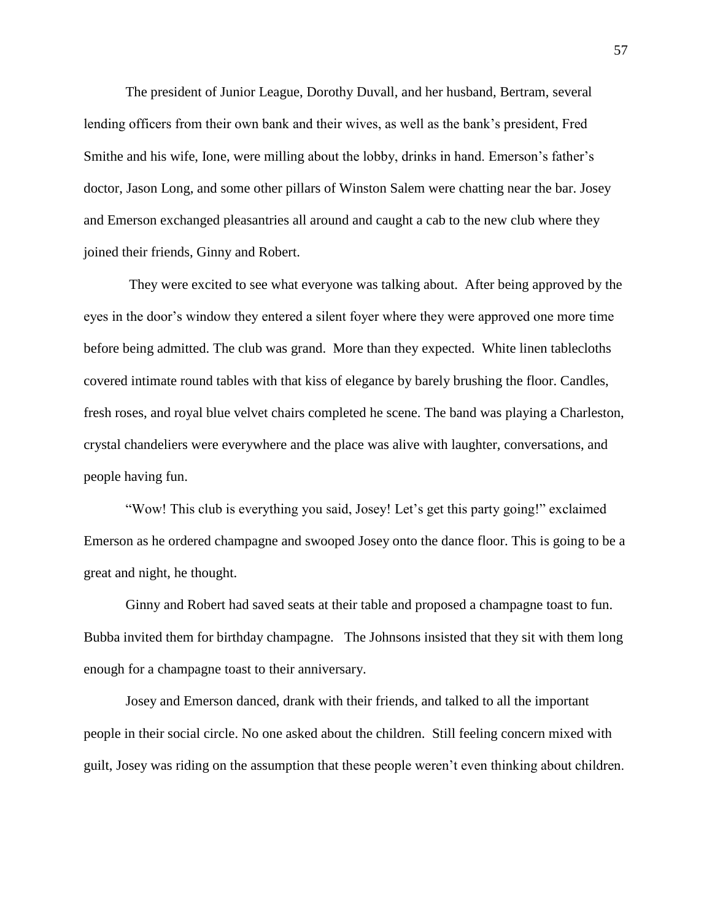The president of Junior League, Dorothy Duvall, and her husband, Bertram, several lending officers from their own bank and their wives, as well as the bank's president, Fred Smithe and his wife, Ione, were milling about the lobby, drinks in hand. Emerson's father's doctor, Jason Long, and some other pillars of Winston Salem were chatting near the bar. Josey and Emerson exchanged pleasantries all around and caught a cab to the new club where they joined their friends, Ginny and Robert.

They were excited to see what everyone was talking about. After being approved by the eyes in the door's window they entered a silent foyer where they were approved one more time before being admitted. The club was grand. More than they expected. White linen tablecloths covered intimate round tables with that kiss of elegance by barely brushing the floor. Candles, fresh roses, and royal blue velvet chairs completed he scene. The band was playing a Charleston, crystal chandeliers were everywhere and the place was alive with laughter, conversations, and people having fun.

"Wow! This club is everything you said, Josey! Let's get this party going!" exclaimed Emerson as he ordered champagne and swooped Josey onto the dance floor. This is going to be a great and night, he thought.

Ginny and Robert had saved seats at their table and proposed a champagne toast to fun. Bubba invited them for birthday champagne. The Johnsons insisted that they sit with them long enough for a champagne toast to their anniversary.

Josey and Emerson danced, drank with their friends, and talked to all the important people in their social circle. No one asked about the children. Still feeling concern mixed with guilt, Josey was riding on the assumption that these people weren't even thinking about children.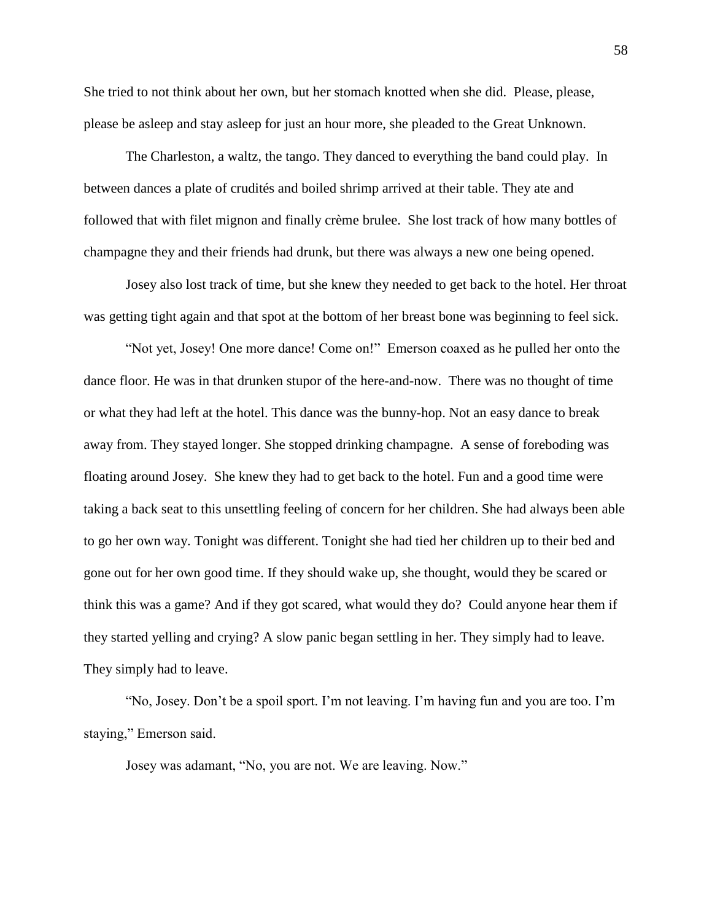She tried to not think about her own, but her stomach knotted when she did. Please, please, please be asleep and stay asleep for just an hour more, she pleaded to the Great Unknown.

The Charleston, a waltz, the tango. They danced to everything the band could play. In between dances a plate of crudités and boiled shrimp arrived at their table. They ate and followed that with filet mignon and finally crème brulee. She lost track of how many bottles of champagne they and their friends had drunk, but there was always a new one being opened.

Josey also lost track of time, but she knew they needed to get back to the hotel. Her throat was getting tight again and that spot at the bottom of her breast bone was beginning to feel sick.

"Not yet, Josey! One more dance! Come on!" Emerson coaxed as he pulled her onto the dance floor. He was in that drunken stupor of the here-and-now. There was no thought of time or what they had left at the hotel. This dance was the bunny-hop. Not an easy dance to break away from. They stayed longer. She stopped drinking champagne. A sense of foreboding was floating around Josey. She knew they had to get back to the hotel. Fun and a good time were taking a back seat to this unsettling feeling of concern for her children. She had always been able to go her own way. Tonight was different. Tonight she had tied her children up to their bed and gone out for her own good time. If they should wake up, she thought, would they be scared or think this was a game? And if they got scared, what would they do? Could anyone hear them if they started yelling and crying? A slow panic began settling in her. They simply had to leave. They simply had to leave.

"No, Josey. Don't be a spoil sport. I'm not leaving. I'm having fun and you are too. I'm staying," Emerson said.

Josey was adamant, "No, you are not. We are leaving. Now."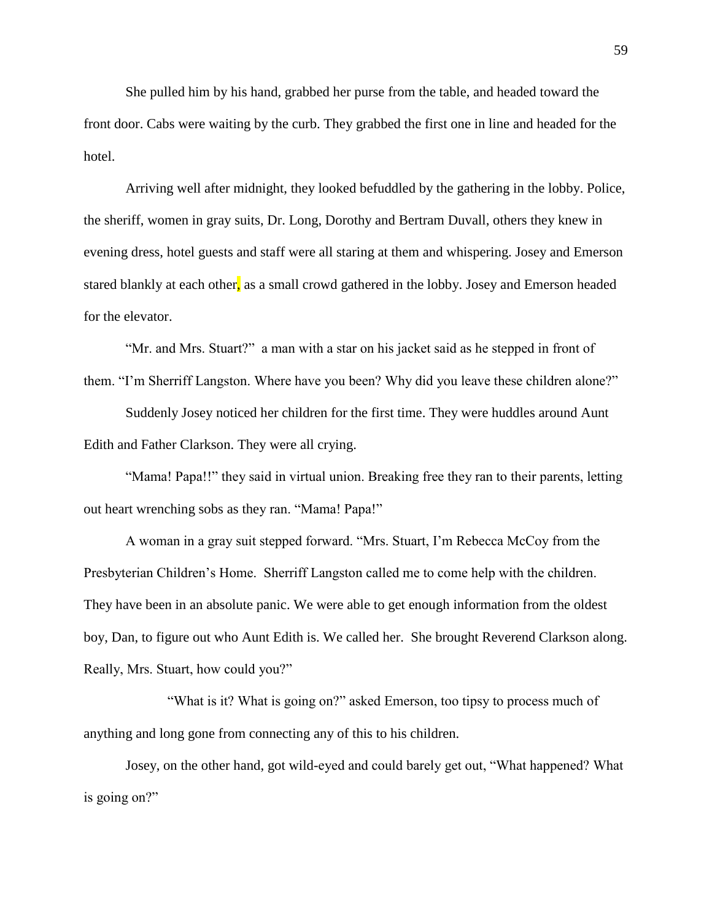She pulled him by his hand, grabbed her purse from the table, and headed toward the front door. Cabs were waiting by the curb. They grabbed the first one in line and headed for the hotel.

Arriving well after midnight, they looked befuddled by the gathering in the lobby. Police, the sheriff, women in gray suits, Dr. Long, Dorothy and Bertram Duvall, others they knew in evening dress, hotel guests and staff were all staring at them and whispering. Josey and Emerson stared blankly at each other, as a small crowd gathered in the lobby. Josey and Emerson headed for the elevator.

"Mr. and Mrs. Stuart?" a man with a star on his jacket said as he stepped in front of them. "I'm Sherriff Langston. Where have you been? Why did you leave these children alone?"

Suddenly Josey noticed her children for the first time. They were huddles around Aunt Edith and Father Clarkson. They were all crying.

"Mama! Papa!!" they said in virtual union. Breaking free they ran to their parents, letting out heart wrenching sobs as they ran. "Mama! Papa!"

A woman in a gray suit stepped forward. "Mrs. Stuart, I'm Rebecca McCoy from the Presbyterian Children's Home. Sherriff Langston called me to come help with the children. They have been in an absolute panic. We were able to get enough information from the oldest boy, Dan, to figure out who Aunt Edith is. We called her. She brought Reverend Clarkson along. Really, Mrs. Stuart, how could you?"

"What is it? What is going on?" asked Emerson, too tipsy to process much of anything and long gone from connecting any of this to his children.

Josey, on the other hand, got wild-eyed and could barely get out, "What happened? What is going on?"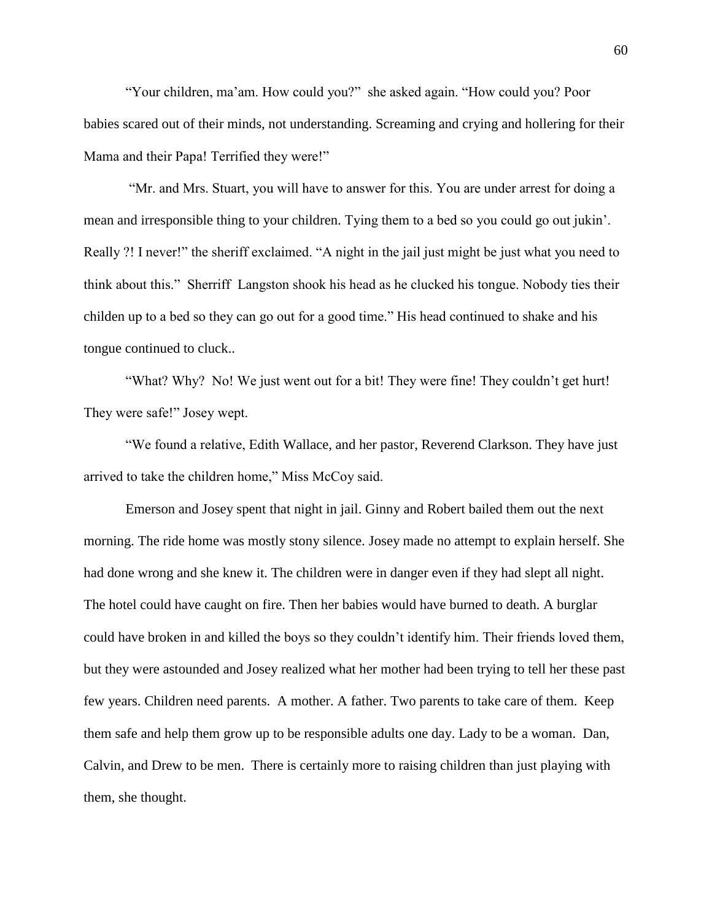"Your children, ma'am. How could you?" she asked again. "How could you? Poor babies scared out of their minds, not understanding. Screaming and crying and hollering for their Mama and their Papa! Terrified they were!"

"Mr. and Mrs. Stuart, you will have to answer for this. You are under arrest for doing a mean and irresponsible thing to your children. Tying them to a bed so you could go out jukin'. Really ?! I never!" the sheriff exclaimed. "A night in the jail just might be just what you need to think about this." Sherriff Langston shook his head as he clucked his tongue. Nobody ties their childen up to a bed so they can go out for a good time." His head continued to shake and his tongue continued to cluck..

"What? Why? No! We just went out for a bit! They were fine! They couldn't get hurt! They were safe!" Josey wept.

"We found a relative, Edith Wallace, and her pastor, Reverend Clarkson. They have just arrived to take the children home," Miss McCoy said.

Emerson and Josey spent that night in jail. Ginny and Robert bailed them out the next morning. The ride home was mostly stony silence. Josey made no attempt to explain herself. She had done wrong and she knew it. The children were in danger even if they had slept all night. The hotel could have caught on fire. Then her babies would have burned to death. A burglar could have broken in and killed the boys so they couldn't identify him. Their friends loved them, but they were astounded and Josey realized what her mother had been trying to tell her these past few years. Children need parents. A mother. A father. Two parents to take care of them. Keep them safe and help them grow up to be responsible adults one day. Lady to be a woman. Dan, Calvin, and Drew to be men. There is certainly more to raising children than just playing with them, she thought.